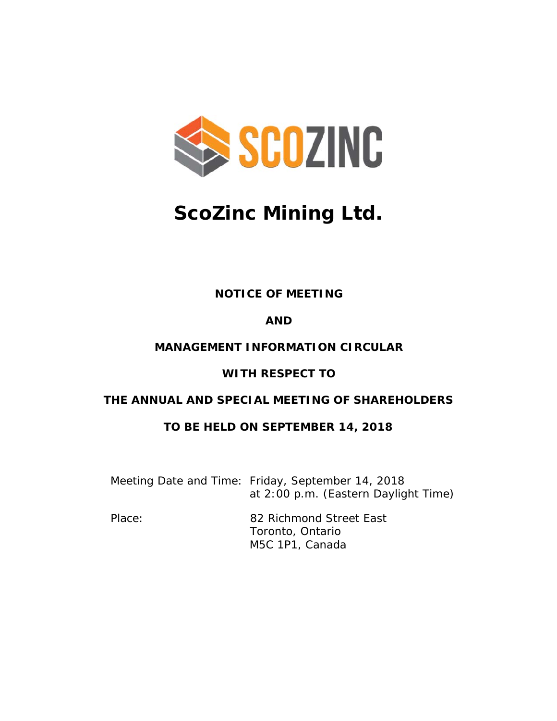

# **ScoZinc Mining Ltd.**

# **NOTICE OF MEETING**

# **AND**

# **MANAGEMENT INFORMATION CIRCULAR**

# **WITH RESPECT TO**

# **THE ANNUAL AND SPECIAL MEETING OF SHAREHOLDERS**

# **TO BE HELD ON SEPTEMBER 14, 2018**

Meeting Date and Time: Friday, September 14, 2018 at 2:00 p.m. (Eastern Daylight Time)

Place: 82 Richmond Street East Toronto, Ontario M5C 1P1, Canada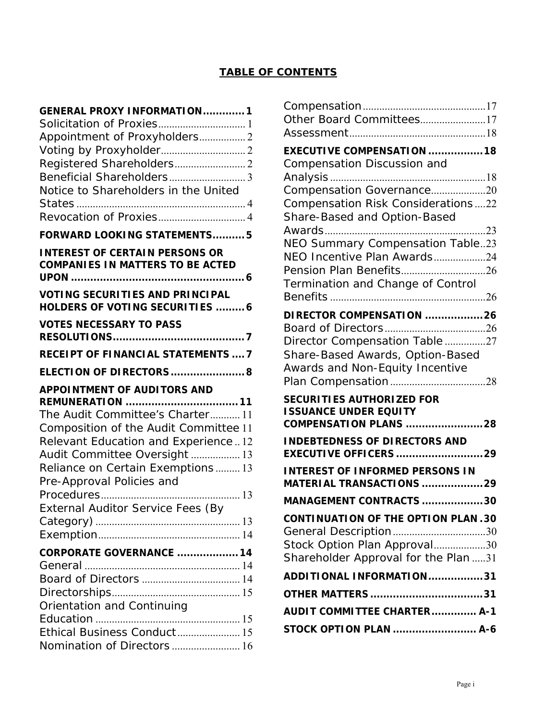# **TABLE OF CONTENTS**

| <b>GENERAL PROXY INFORMATION1</b>                          |
|------------------------------------------------------------|
| Solicitation of Proxies 1                                  |
| Appointment of Proxyholders2                               |
|                                                            |
| Registered Shareholders 2                                  |
| Beneficial Shareholders3                                   |
| Notice to Shareholders in the United                       |
|                                                            |
|                                                            |
| <b>FORWARD LOOKING STATEMENTS5</b>                         |
| <b>INTEREST OF CERTAIN PERSONS OR</b>                      |
| <b>COMPANIES IN MATTERS TO BE ACTED</b>                    |
|                                                            |
| <b>VOTING SECURITIES AND PRINCIPAL</b>                     |
| <b>HOLDERS OF VOTING SECURITIES  6</b>                     |
| <b>VOTES NECESSARY TO PASS</b>                             |
|                                                            |
| <b>RECEIPT OF FINANCIAL STATEMENTS  7</b>                  |
| ELECTION OF DIRECTORS 8                                    |
|                                                            |
| <b>APPOINTMENT OF AUDITORS AND</b>                         |
| REMUNERATION  11                                           |
| The Audit Committee's Charter 11                           |
| Composition of the Audit Committee 11                      |
| Relevant Education and Experience12                        |
| Audit Committee Oversight  13                              |
| Reliance on Certain Exemptions  13                         |
| Pre-Approval Policies and                                  |
|                                                            |
| <b>External Auditor Service Fees (By</b>                   |
|                                                            |
|                                                            |
| CORPORATE GOVERNANCE  14                                   |
|                                                            |
|                                                            |
|                                                            |
| Orientation and Continuing                                 |
|                                                            |
| Ethical Business Conduct 15<br>Nomination of Directors  16 |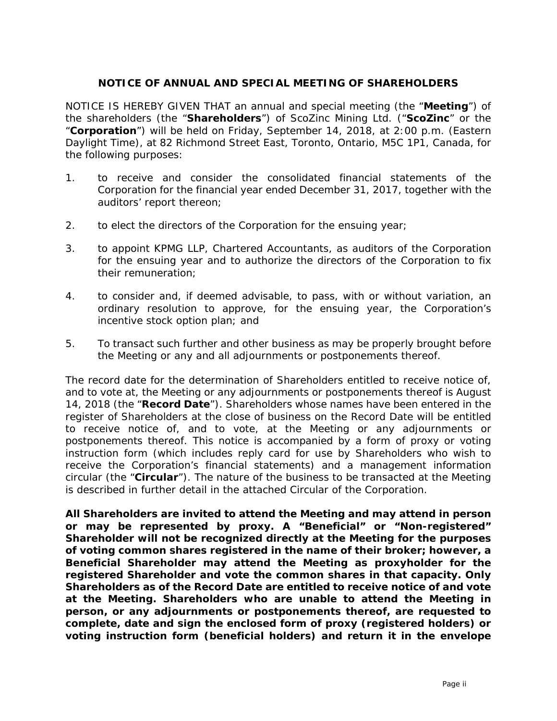## **NOTICE OF ANNUAL AND SPECIAL MEETING OF SHAREHOLDERS**

NOTICE IS HEREBY GIVEN THAT an annual and special meeting (the "**Meeting**") of the shareholders (the "**Shareholders**") of ScoZinc Mining Ltd. ("**ScoZinc**" or the "**Corporation**") will be held on Friday, September 14, 2018, at 2:00 p.m. (Eastern Daylight Time), at 82 Richmond Street East, Toronto, Ontario, M5C 1P1, Canada, for the following purposes:

- 1. to receive and consider the consolidated financial statements of the Corporation for the financial year ended December 31, 2017, together with the auditors' report thereon;
- 2. to elect the directors of the Corporation for the ensuing year;
- 3. to appoint KPMG LLP, Chartered Accountants, as auditors of the Corporation for the ensuing year and to authorize the directors of the Corporation to fix their remuneration;
- 4. to consider and, if deemed advisable, to pass, with or without variation, an ordinary resolution to approve, for the ensuing year, the Corporation's incentive stock option plan; and
- 5. To transact such further and other business as may be properly brought before the Meeting or any and all adjournments or postponements thereof.

The record date for the determination of Shareholders entitled to receive notice of, and to vote at, the Meeting or any adjournments or postponements thereof is August 14, 2018 (the "**Record Date**"). Shareholders whose names have been entered in the register of Shareholders at the close of business on the Record Date will be entitled to receive notice of, and to vote, at the Meeting or any adjournments or postponements thereof. This notice is accompanied by a form of proxy or voting instruction form (which includes reply card for use by Shareholders who wish to receive the Corporation's financial statements) and a management information circular (the "**Circular**"). The nature of the business to be transacted at the Meeting is described in further detail in the attached Circular of the Corporation.

**All Shareholders are invited to attend the Meeting and may attend in person or may be represented by proxy. A "Beneficial" or "Non-registered" Shareholder will not be recognized directly at the Meeting for the purposes of voting common shares registered in the name of their broker; however, a Beneficial Shareholder may attend the Meeting as proxyholder for the registered Shareholder and vote the common shares in that capacity. Only Shareholders as of the Record Date are entitled to receive notice of and vote at the Meeting. Shareholders who are unable to attend the Meeting in person, or any adjournments or postponements thereof, are requested to complete, date and sign the enclosed form of proxy (registered holders) or voting instruction form (beneficial holders) and return it in the envelope**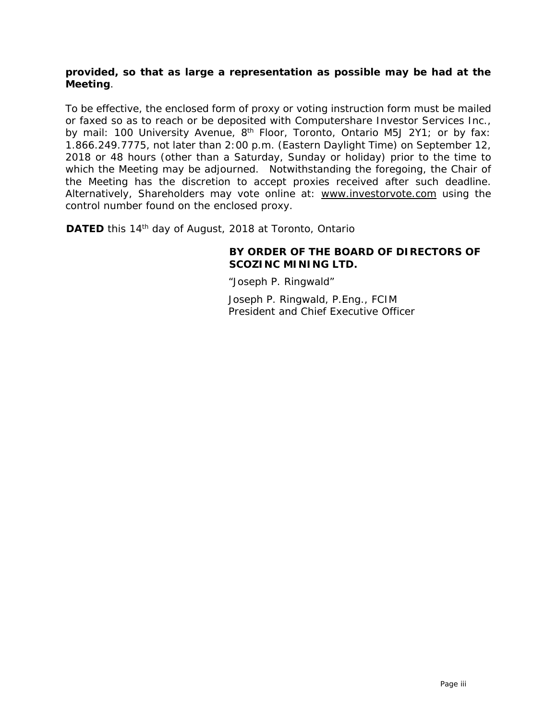#### **provided, so that as large a representation as possible may be had at the Meeting**.

To be effective, the enclosed form of proxy or voting instruction form must be mailed or faxed so as to reach or be deposited with Computershare Investor Services Inc., by mail: 100 University Avenue, 8<sup>th</sup> Floor, Toronto, Ontario M5J 2Y1; or by fax: 1.866.249.7775, not later than 2:00 p.m. (Eastern Daylight Time) on September 12, 2018 or 48 hours (other than a Saturday, Sunday or holiday) prior to the time to which the Meeting may be adjourned. Notwithstanding the foregoing, the Chair of the Meeting has the discretion to accept proxies received after such deadline. Alternatively, Shareholders may vote online at: www.investorvote.com using the control number found on the enclosed proxy.

**DATED** this 14<sup>th</sup> day of August, 2018 at Toronto, Ontario

## **BY ORDER OF THE BOARD OF DIRECTORS OF SCOZINC MINING LTD.**

"*Joseph P. Ringwald*"

Joseph P. Ringwald, P.Eng., FCIM President and Chief Executive Officer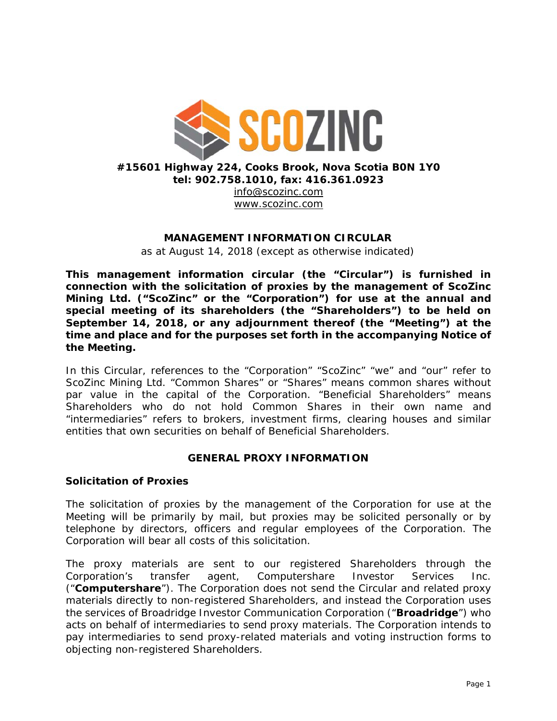

**#15601 Highway 224, Cooks Brook, Nova Scotia B0N 1Y0 tel: 902.758.1010, fax: 416.361.0923**  info@scozinc.com www.scozinc.com

#### **MANAGEMENT INFORMATION CIRCULAR**

as at August 14, 2018 (except as otherwise indicated)

**This management information circular (the "Circular") is furnished in connection with the solicitation of proxies by the management of ScoZinc Mining Ltd. ("ScoZinc" or the "Corporation") for use at the annual and special meeting of its shareholders (the "Shareholders") to be held on September 14, 2018, or any adjournment thereof (the "Meeting") at the time and place and for the purposes set forth in the accompanying Notice of the Meeting.**

In this Circular, references to the "Corporation" "ScoZinc" "we" and "our" refer to ScoZinc Mining Ltd. "Common Shares" or "Shares" means common shares without par value in the capital of the Corporation. "Beneficial Shareholders" means Shareholders who do not hold Common Shares in their own name and "intermediaries" refers to brokers, investment firms, clearing houses and similar entities that own securities on behalf of Beneficial Shareholders.

#### **GENERAL PROXY INFORMATION**

#### **Solicitation of Proxies**

The solicitation of proxies by the management of the Corporation for use at the Meeting will be primarily by mail, but proxies may be solicited personally or by telephone by directors, officers and regular employees of the Corporation. The Corporation will bear all costs of this solicitation.

The proxy materials are sent to our registered Shareholders through the Corporation's transfer agent, Computershare Investor Services Inc. ("**Computershare**"). The Corporation does not send the Circular and related proxy materials directly to non-registered Shareholders, and instead the Corporation uses the services of Broadridge Investor Communication Corporation ("**Broadridge**") who acts on behalf of intermediaries to send proxy materials. The Corporation intends to pay intermediaries to send proxy-related materials and voting instruction forms to objecting non-registered Shareholders.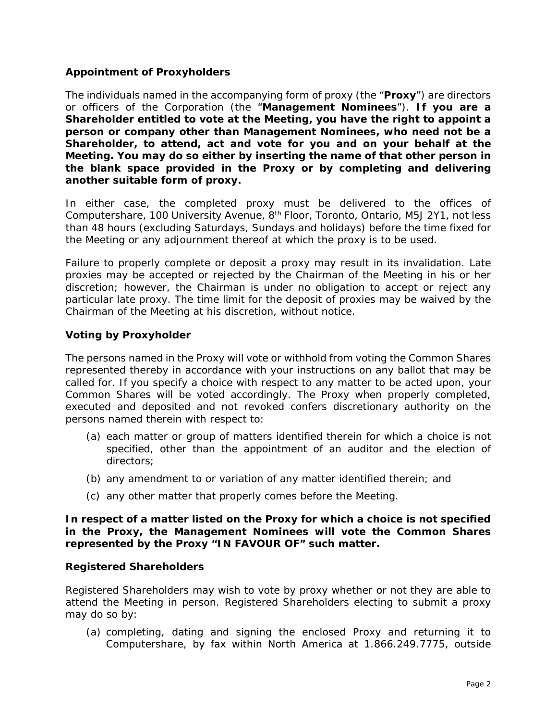## **Appointment of Proxyholders**

The individuals named in the accompanying form of proxy (the "**Proxy**") are directors or officers of the Corporation (the "**Management Nominees**"). **If you are a Shareholder entitled to vote at the Meeting, you have the right to appoint a person or company other than Management Nominees, who need not be a Shareholder, to attend, act and vote for you and on your behalf at the Meeting. You may do so either by inserting the name of that other person in the blank space provided in the Proxy or by completing and delivering another suitable form of proxy.**

In either case, the completed proxy must be delivered to the offices of Computershare, 100 University Avenue, 8th Floor, Toronto, Ontario, M5J 2Y1, not less than 48 hours (excluding Saturdays, Sundays and holidays) before the time fixed for the Meeting or any adjournment thereof at which the proxy is to be used.

Failure to properly complete or deposit a proxy may result in its invalidation. Late proxies may be accepted or rejected by the Chairman of the Meeting in his or her discretion; however, the Chairman is under no obligation to accept or reject any particular late proxy. The time limit for the deposit of proxies may be waived by the Chairman of the Meeting at his discretion, without notice.

## **Voting by Proxyholder**

The persons named in the Proxy will vote or withhold from voting the Common Shares represented thereby in accordance with your instructions on any ballot that may be called for. If you specify a choice with respect to any matter to be acted upon, your Common Shares will be voted accordingly. The Proxy when properly completed, executed and deposited and not revoked confers discretionary authority on the persons named therein with respect to:

- (a) each matter or group of matters identified therein for which a choice is not specified, other than the appointment of an auditor and the election of directors;
- (b) any amendment to or variation of any matter identified therein; and
- (c) any other matter that properly comes before the Meeting.

**In respect of a matter listed on the Proxy for which a choice is not specified in the Proxy, the Management Nominees will vote the Common Shares represented by the Proxy "IN FAVOUR OF" such matter.**

#### **Registered Shareholders**

Registered Shareholders may wish to vote by proxy whether or not they are able to attend the Meeting in person. Registered Shareholders electing to submit a proxy may do so by:

(a) completing, dating and signing the enclosed Proxy and returning it to Computershare, by fax within North America at 1.866.249.7775, outside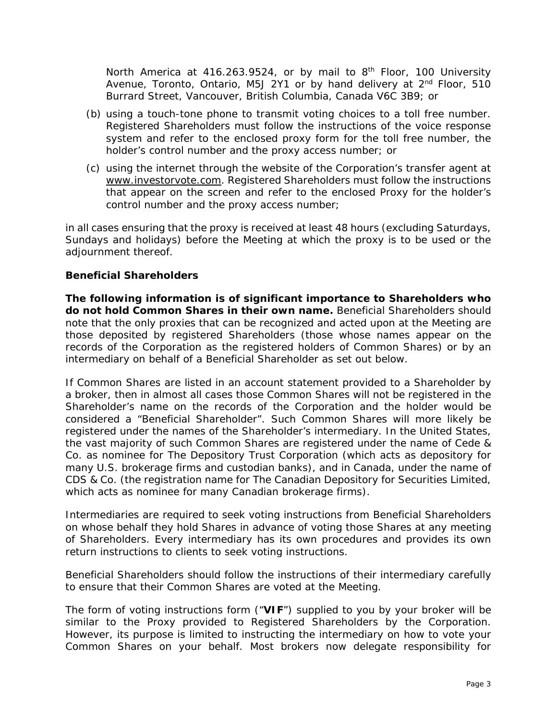North America at 416.263.9524, or by mail to  $8<sup>th</sup>$  Floor, 100 University Avenue, Toronto, Ontario, M5J 2Y1 or by hand delivery at 2<sup>nd</sup> Floor, 510 Burrard Street, Vancouver, British Columbia, Canada V6C 3B9; or

- (b) using a touch-tone phone to transmit voting choices to a toll free number. Registered Shareholders must follow the instructions of the voice response system and refer to the enclosed proxy form for the toll free number, the holder's control number and the proxy access number; or
- (c) using the internet through the website of the Corporation's transfer agent at www.investorvote.com. Registered Shareholders must follow the instructions that appear on the screen and refer to the enclosed Proxy for the holder's control number and the proxy access number;

in all cases ensuring that the proxy is received at least 48 hours (excluding Saturdays, Sundays and holidays) before the Meeting at which the proxy is to be used or the adjournment thereof.

## **Beneficial Shareholders**

**The following information is of significant importance to Shareholders who do not hold Common Shares in their own name.** Beneficial Shareholders should note that the only proxies that can be recognized and acted upon at the Meeting are those deposited by registered Shareholders (those whose names appear on the records of the Corporation as the registered holders of Common Shares) or by an intermediary on behalf of a Beneficial Shareholder as set out below.

If Common Shares are listed in an account statement provided to a Shareholder by a broker, then in almost all cases those Common Shares will not be registered in the Shareholder's name on the records of the Corporation and the holder would be considered a "Beneficial Shareholder". Such Common Shares will more likely be registered under the names of the Shareholder's intermediary. In the United States, the vast majority of such Common Shares are registered under the name of Cede & Co. as nominee for The Depository Trust Corporation (which acts as depository for many U.S. brokerage firms and custodian banks), and in Canada, under the name of CDS & Co. (the registration name for The Canadian Depository for Securities Limited, which acts as nominee for many Canadian brokerage firms).

Intermediaries are required to seek voting instructions from Beneficial Shareholders on whose behalf they hold Shares in advance of voting those Shares at any meeting of Shareholders. Every intermediary has its own procedures and provides its own return instructions to clients to seek voting instructions.

Beneficial Shareholders should follow the instructions of their intermediary carefully to ensure that their Common Shares are voted at the Meeting.

The form of voting instructions form ("**VIF**") supplied to you by your broker will be similar to the Proxy provided to Registered Shareholders by the Corporation. However, its purpose is limited to instructing the intermediary on how to vote your Common Shares on your behalf. Most brokers now delegate responsibility for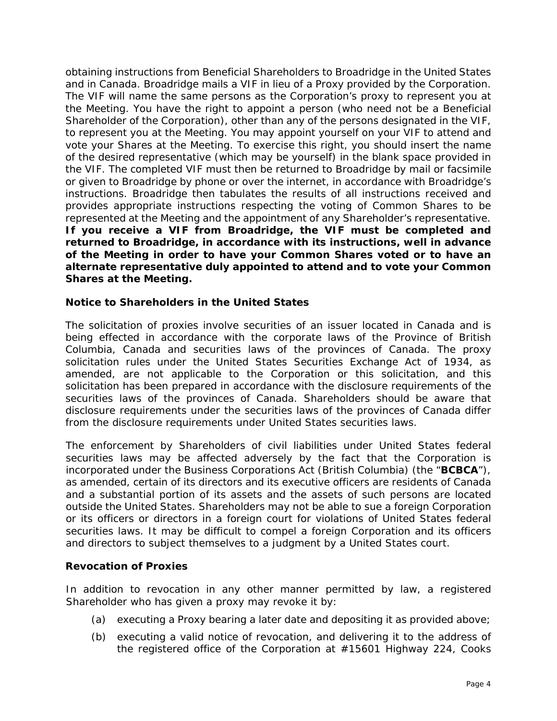obtaining instructions from Beneficial Shareholders to Broadridge in the United States and in Canada. Broadridge mails a VIF in lieu of a Proxy provided by the Corporation. The VIF will name the same persons as the Corporation's proxy to represent you at the Meeting. You have the right to appoint a person (who need not be a Beneficial Shareholder of the Corporation), other than any of the persons designated in the VIF, to represent you at the Meeting. You may appoint yourself on your VIF to attend and vote your Shares at the Meeting. To exercise this right, you should insert the name of the desired representative (which may be yourself) in the blank space provided in the VIF. The completed VIF must then be returned to Broadridge by mail or facsimile or given to Broadridge by phone or over the internet, in accordance with Broadridge's instructions. Broadridge then tabulates the results of all instructions received and provides appropriate instructions respecting the voting of Common Shares to be represented at the Meeting and the appointment of any Shareholder's representative. **If you receive a VIF from Broadridge, the VIF must be completed and returned to Broadridge, in accordance with its instructions, well in advance of the Meeting in order to have your Common Shares voted or to have an alternate representative duly appointed to attend and to vote your Common Shares at the Meeting.**

## **Notice to Shareholders in the United States**

The solicitation of proxies involve securities of an issuer located in Canada and is being effected in accordance with the corporate laws of the Province of British Columbia, Canada and securities laws of the provinces of Canada. The proxy solicitation rules under the United States *Securities Exchange Act of 1934*, as amended, are not applicable to the Corporation or this solicitation, and this solicitation has been prepared in accordance with the disclosure requirements of the securities laws of the provinces of Canada. Shareholders should be aware that disclosure requirements under the securities laws of the provinces of Canada differ from the disclosure requirements under United States securities laws.

The enforcement by Shareholders of civil liabilities under United States federal securities laws may be affected adversely by the fact that the Corporation is incorporated under the *Business Corporations Act* (British Columbia) (the "**BCBCA**"), as amended, certain of its directors and its executive officers are residents of Canada and a substantial portion of its assets and the assets of such persons are located outside the United States. Shareholders may not be able to sue a foreign Corporation or its officers or directors in a foreign court for violations of United States federal securities laws. It may be difficult to compel a foreign Corporation and its officers and directors to subject themselves to a judgment by a United States court.

#### **Revocation of Proxies**

In addition to revocation in any other manner permitted by law, a registered Shareholder who has given a proxy may revoke it by:

- (a) executing a Proxy bearing a later date and depositing it as provided above;
- (b) executing a valid notice of revocation, and delivering it to the address of the registered office of the Corporation at #15601 Highway 224, Cooks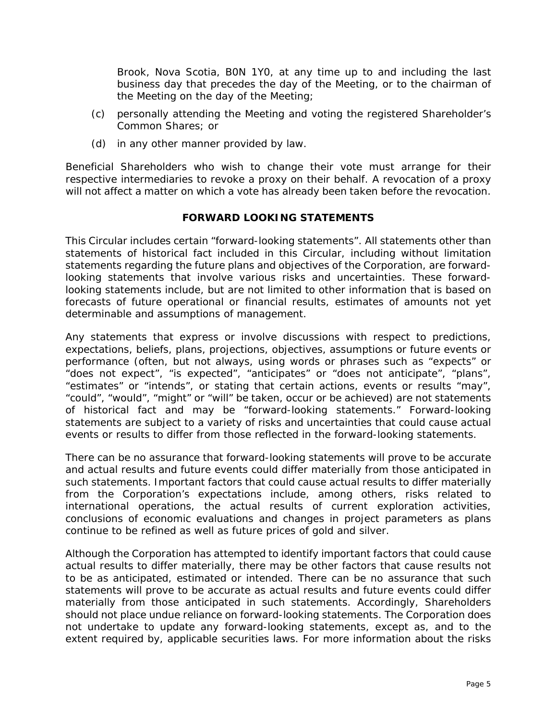Brook, Nova Scotia, B0N 1Y0, at any time up to and including the last business day that precedes the day of the Meeting, or to the chairman of the Meeting on the day of the Meeting;

- (c) personally attending the Meeting and voting the registered Shareholder's Common Shares; or
- (d) in any other manner provided by law.

Beneficial Shareholders who wish to change their vote must arrange for their respective intermediaries to revoke a proxy on their behalf. A revocation of a proxy will not affect a matter on which a vote has already been taken before the revocation.

#### **FORWARD LOOKING STATEMENTS**

This Circular includes certain "forward-looking statements". All statements other than statements of historical fact included in this Circular, including without limitation statements regarding the future plans and objectives of the Corporation, are forwardlooking statements that involve various risks and uncertainties. These forwardlooking statements include, but are not limited to other information that is based on forecasts of future operational or financial results, estimates of amounts not yet determinable and assumptions of management.

Any statements that express or involve discussions with respect to predictions, expectations, beliefs, plans, projections, objectives, assumptions or future events or performance (often, but not always, using words or phrases such as "expects" or "does not expect", "is expected", "anticipates" or "does not anticipate", "plans", "estimates" or "intends", or stating that certain actions, events or results "may", "could", "would", "might" or "will" be taken, occur or be achieved) are not statements of historical fact and may be "forward-looking statements." Forward-looking statements are subject to a variety of risks and uncertainties that could cause actual events or results to differ from those reflected in the forward-looking statements.

There can be no assurance that forward-looking statements will prove to be accurate and actual results and future events could differ materially from those anticipated in such statements. Important factors that could cause actual results to differ materially from the Corporation's expectations include, among others, risks related to international operations, the actual results of current exploration activities, conclusions of economic evaluations and changes in project parameters as plans continue to be refined as well as future prices of gold and silver.

Although the Corporation has attempted to identify important factors that could cause actual results to differ materially, there may be other factors that cause results not to be as anticipated, estimated or intended. There can be no assurance that such statements will prove to be accurate as actual results and future events could differ materially from those anticipated in such statements. Accordingly, Shareholders should not place undue reliance on forward-looking statements. The Corporation does not undertake to update any forward-looking statements, except as, and to the extent required by, applicable securities laws. For more information about the risks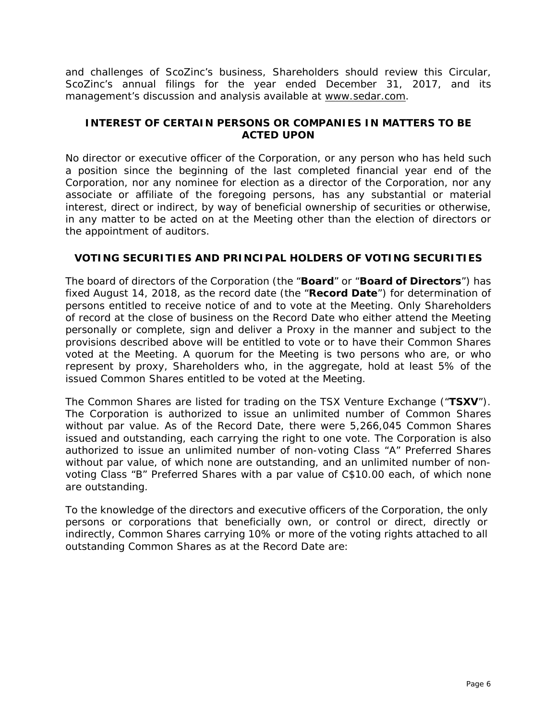and challenges of ScoZinc's business, Shareholders should review this Circular, ScoZinc's annual filings for the year ended December 31, 2017, and its management's discussion and analysis available at www.sedar.com.

## **INTEREST OF CERTAIN PERSONS OR COMPANIES IN MATTERS TO BE ACTED UPON**

No director or executive officer of the Corporation, or any person who has held such a position since the beginning of the last completed financial year end of the Corporation, nor any nominee for election as a director of the Corporation, nor any associate or affiliate of the foregoing persons, has any substantial or material interest, direct or indirect, by way of beneficial ownership of securities or otherwise, in any matter to be acted on at the Meeting other than the election of directors or the appointment of auditors.

## **VOTING SECURITIES AND PRINCIPAL HOLDERS OF VOTING SECURITIES**

The board of directors of the Corporation (the "**Board**" or "**Board of Directors**") has fixed August 14, 2018, as the record date (the "**Record Date**") for determination of persons entitled to receive notice of and to vote at the Meeting. Only Shareholders of record at the close of business on the Record Date who either attend the Meeting personally or complete, sign and deliver a Proxy in the manner and subject to the provisions described above will be entitled to vote or to have their Common Shares voted at the Meeting. A quorum for the Meeting is two persons who are, or who represent by proxy, Shareholders who, in the aggregate, hold at least 5% of the issued Common Shares entitled to be voted at the Meeting.

The Common Shares are listed for trading on the TSX Venture Exchange ("**TSXV**"). The Corporation is authorized to issue an unlimited number of Common Shares without par value. As of the Record Date, there were 5,266,045 Common Shares issued and outstanding, each carrying the right to one vote. The Corporation is also authorized to issue an unlimited number of non-voting Class "A" Preferred Shares without par value, of which none are outstanding, and an unlimited number of nonvoting Class "B" Preferred Shares with a par value of C\$10.00 each, of which none are outstanding.

To the knowledge of the directors and executive officers of the Corporation, the only persons or corporations that beneficially own, or control or direct, directly or indirectly, Common Shares carrying 10% or more of the voting rights attached to all outstanding Common Shares as at the Record Date are: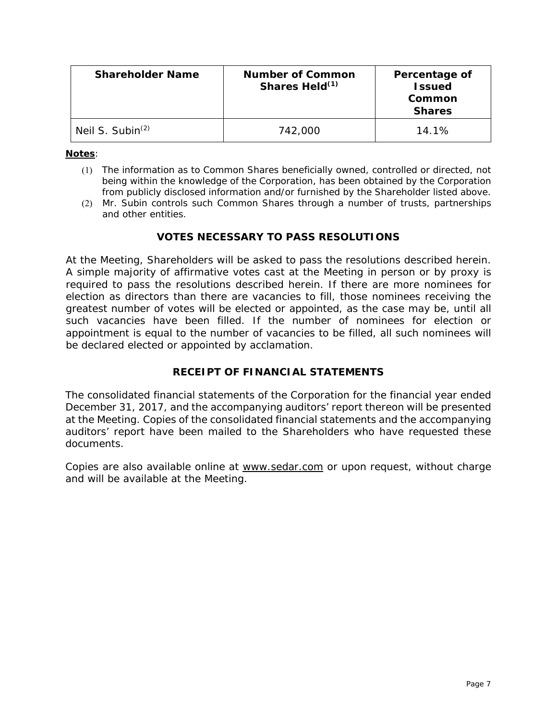| <b>Shareholder Name</b> | <b>Number of Common</b><br>Shares Held <sup>(1)</sup> | Percentage of<br><b>Issued</b><br>Common<br><b>Shares</b> |
|-------------------------|-------------------------------------------------------|-----------------------------------------------------------|
| Neil S. Subin $(2)$     | 742,000                                               | $14.1\%$                                                  |

#### **Notes**:

- (1) The information as to Common Shares beneficially owned, controlled or directed, not being within the knowledge of the Corporation, has been obtained by the Corporation from publicly disclosed information and/or furnished by the Shareholder listed above.
- (2) Mr. Subin controls such Common Shares through a number of trusts, partnerships and other entities.

## **VOTES NECESSARY TO PASS RESOLUTIONS**

At the Meeting, Shareholders will be asked to pass the resolutions described herein. A simple majority of affirmative votes cast at the Meeting in person or by proxy is required to pass the resolutions described herein. If there are more nominees for election as directors than there are vacancies to fill, those nominees receiving the greatest number of votes will be elected or appointed, as the case may be, until all such vacancies have been filled. If the number of nominees for election or appointment is equal to the number of vacancies to be filled, all such nominees will be declared elected or appointed by acclamation.

## **RECEIPT OF FINANCIAL STATEMENTS**

The consolidated financial statements of the Corporation for the financial year ended December 31, 2017, and the accompanying auditors' report thereon will be presented at the Meeting. Copies of the consolidated financial statements and the accompanying auditors' report have been mailed to the Shareholders who have requested these documents.

Copies are also available online at www.sedar.com or upon request, without charge and will be available at the Meeting.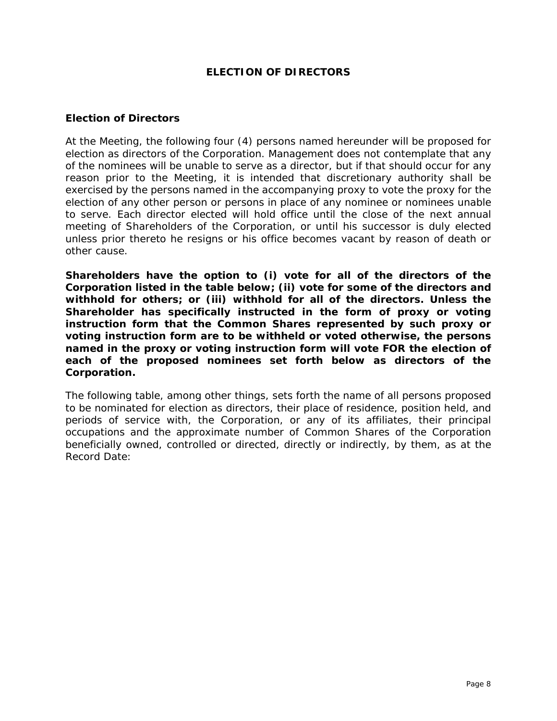## **ELECTION OF DIRECTORS**

#### **Election of Directors**

At the Meeting, the following four (4) persons named hereunder will be proposed for election as directors of the Corporation. Management does not contemplate that any of the nominees will be unable to serve as a director, but if that should occur for any reason prior to the Meeting, it is intended that discretionary authority shall be exercised by the persons named in the accompanying proxy to vote the proxy for the election of any other person or persons in place of any nominee or nominees unable to serve. Each director elected will hold office until the close of the next annual meeting of Shareholders of the Corporation, or until his successor is duly elected unless prior thereto he resigns or his office becomes vacant by reason of death or other cause.

**Shareholders have the option to (i) vote for all of the directors of the Corporation listed in the table below; (ii) vote for some of the directors and withhold for others; or (iii) withhold for all of the directors. Unless the Shareholder has specifically instructed in the form of proxy or voting instruction form that the Common Shares represented by such proxy or voting instruction form are to be withheld or voted otherwise, the persons named in the proxy or voting instruction form will vote FOR the election of each of the proposed nominees set forth below as directors of the Corporation.** 

The following table, among other things, sets forth the name of all persons proposed to be nominated for election as directors, their place of residence, position held, and periods of service with, the Corporation, or any of its affiliates, their principal occupations and the approximate number of Common Shares of the Corporation beneficially owned, controlled or directed, directly or indirectly, by them, as at the Record Date: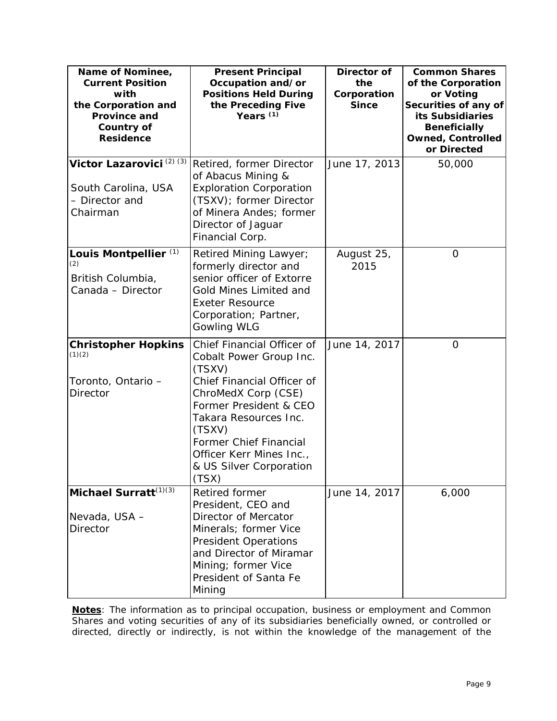| Name of Nominee,<br><b>Current Position</b><br>with<br>the Corporation and<br><b>Province and</b><br><b>Country of</b><br><b>Residence</b> | <b>Present Principal</b><br>Occupation and/or<br><b>Positions Held During</b><br>the Preceding Five<br>Years <sup>(1)</sup>                                                                                                                                                 | Director of<br>the<br>Corporation<br><b>Since</b> | <b>Common Shares</b><br>of the Corporation<br>or Voting<br>Securities of any of<br>its Subsidiaries<br><b>Beneficially</b><br><b>Owned, Controlled</b><br>or Directed |
|--------------------------------------------------------------------------------------------------------------------------------------------|-----------------------------------------------------------------------------------------------------------------------------------------------------------------------------------------------------------------------------------------------------------------------------|---------------------------------------------------|-----------------------------------------------------------------------------------------------------------------------------------------------------------------------|
| Victor Lazarovici <sup>(2)(3)</sup><br>South Carolina, USA<br>- Director and<br>Chairman                                                   | Retired, former Director<br>of Abacus Mining &<br><b>Exploration Corporation</b><br>(TSXV); former Director<br>of Minera Andes; former<br>Director of Jaguar<br>Financial Corp.                                                                                             | June 17, 2013                                     | 50,000                                                                                                                                                                |
| Louis Montpellier <sup>(1)</sup><br>(2)<br>British Columbia,<br>Canada - Director                                                          | Retired Mining Lawyer;<br>formerly director and<br>senior officer of Extorre<br>Gold Mines Limited and<br><b>Exeter Resource</b><br>Corporation; Partner,<br><b>Gowling WLG</b>                                                                                             | August 25,<br>2015                                | 0                                                                                                                                                                     |
| <b>Christopher Hopkins</b><br>(1)(2)<br>Toronto, Ontario -<br><b>Director</b>                                                              | Chief Financial Officer of<br>Cobalt Power Group Inc.<br>(TSXV)<br>Chief Financial Officer of<br>ChroMedX Corp (CSE)<br>Former President & CEO<br>Takara Resources Inc.<br>(TSXV)<br>Former Chief Financial<br>Officer Kerr Mines Inc.,<br>& US Silver Corporation<br>(TSX) | June 14, 2017                                     | 0                                                                                                                                                                     |
| Michael Surratt(1)(3)<br>Nevada, USA -<br><b>Director</b>                                                                                  | Retired former<br>President, CEO and<br>Director of Mercator<br>Minerals; former Vice<br><b>President Operations</b><br>and Director of Miramar<br>Mining; former Vice<br>President of Santa Fe<br>Mining                                                                   | June 14, 2017                                     | 6,000                                                                                                                                                                 |

**Notes**: The information as to principal occupation, business or employment and Common Shares and voting securities of any of its subsidiaries beneficially owned, or controlled or directed, directly or indirectly, is not within the knowledge of the management of the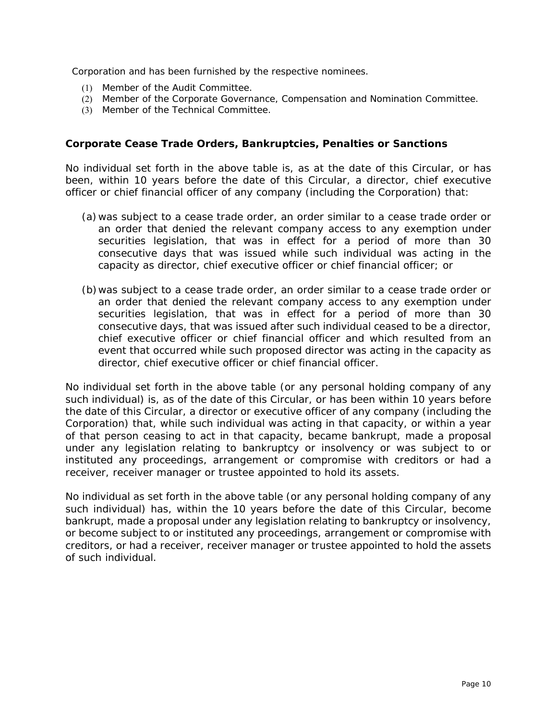Corporation and has been furnished by the respective nominees.

- (1) Member of the Audit Committee.
- (2) Member of the Corporate Governance, Compensation and Nomination Committee.
- (3) Member of the Technical Committee.

#### *Corporate Cease Trade Orders, Bankruptcies, Penalties or Sanctions*

No individual set forth in the above table is, as at the date of this Circular, or has been, within 10 years before the date of this Circular, a director, chief executive officer or chief financial officer of any company (including the Corporation) that:

- (a)was subject to a cease trade order, an order similar to a cease trade order or an order that denied the relevant company access to any exemption under securities legislation, that was in effect for a period of more than 30 consecutive days that was issued while such individual was acting in the capacity as director, chief executive officer or chief financial officer; or
- (b)was subject to a cease trade order, an order similar to a cease trade order or an order that denied the relevant company access to any exemption under securities legislation, that was in effect for a period of more than 30 consecutive days, that was issued after such individual ceased to be a director, chief executive officer or chief financial officer and which resulted from an event that occurred while such proposed director was acting in the capacity as director, chief executive officer or chief financial officer.

No individual set forth in the above table (or any personal holding company of any such individual) is, as of the date of this Circular, or has been within 10 years before the date of this Circular, a director or executive officer of any company (including the Corporation) that, while such individual was acting in that capacity, or within a year of that person ceasing to act in that capacity, became bankrupt, made a proposal under any legislation relating to bankruptcy or insolvency or was subject to or instituted any proceedings, arrangement or compromise with creditors or had a receiver, receiver manager or trustee appointed to hold its assets.

No individual as set forth in the above table (or any personal holding company of any such individual) has, within the 10 years before the date of this Circular, become bankrupt, made a proposal under any legislation relating to bankruptcy or insolvency, or become subject to or instituted any proceedings, arrangement or compromise with creditors, or had a receiver, receiver manager or trustee appointed to hold the assets of such individual.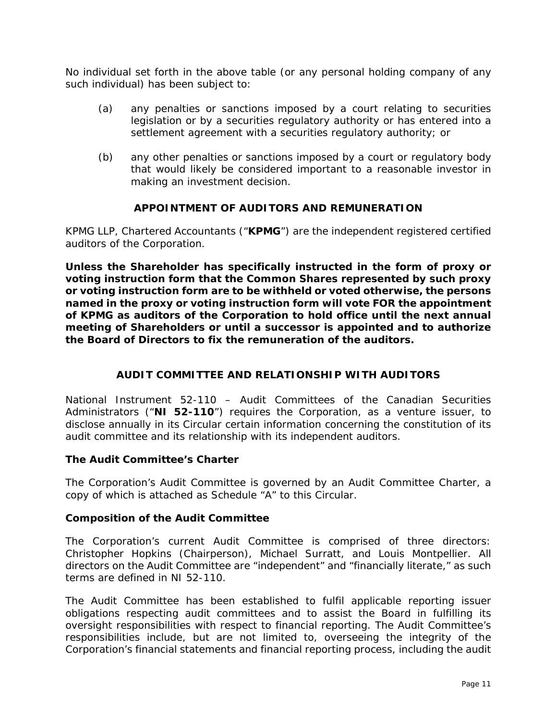No individual set forth in the above table (or any personal holding company of any such individual) has been subject to:

- (a) any penalties or sanctions imposed by a court relating to securities legislation or by a securities regulatory authority or has entered into a settlement agreement with a securities regulatory authority; or
- (b) any other penalties or sanctions imposed by a court or regulatory body that would likely be considered important to a reasonable investor in making an investment decision.

## **APPOINTMENT OF AUDITORS AND REMUNERATION**

KPMG LLP, Chartered Accountants ("**KPMG**") are the independent registered certified auditors of the Corporation.

**Unless the Shareholder has specifically instructed in the form of proxy or voting instruction form that the Common Shares represented by such proxy or voting instruction form are to be withheld or voted otherwise, the persons named in the proxy or voting instruction form will vote FOR the appointment of KPMG as auditors of the Corporation to hold office until the next annual meeting of Shareholders or until a successor is appointed and to authorize the Board of Directors to fix the remuneration of the auditors.** 

#### **AUDIT COMMITTEE AND RELATIONSHIP WITH AUDITORS**

National Instrument 52-110 – *Audit Committees* of the Canadian Securities Administrators ("**NI 52-110**") requires the Corporation, as a venture issuer, to disclose annually in its Circular certain information concerning the constitution of its audit committee and its relationship with its independent auditors.

#### **The Audit Committee's Charter**

The Corporation's Audit Committee is governed by an Audit Committee Charter, a copy of which is attached as Schedule "A" to this Circular.

#### **Composition of the Audit Committee**

The Corporation's current Audit Committee is comprised of three directors: Christopher Hopkins (Chairperson), Michael Surratt, and Louis Montpellier. All directors on the Audit Committee are "independent" and "financially literate," as such terms are defined in NI 52-110.

The Audit Committee has been established to fulfil applicable reporting issuer obligations respecting audit committees and to assist the Board in fulfilling its oversight responsibilities with respect to financial reporting. The Audit Committee's responsibilities include, but are not limited to, overseeing the integrity of the Corporation's financial statements and financial reporting process, including the audit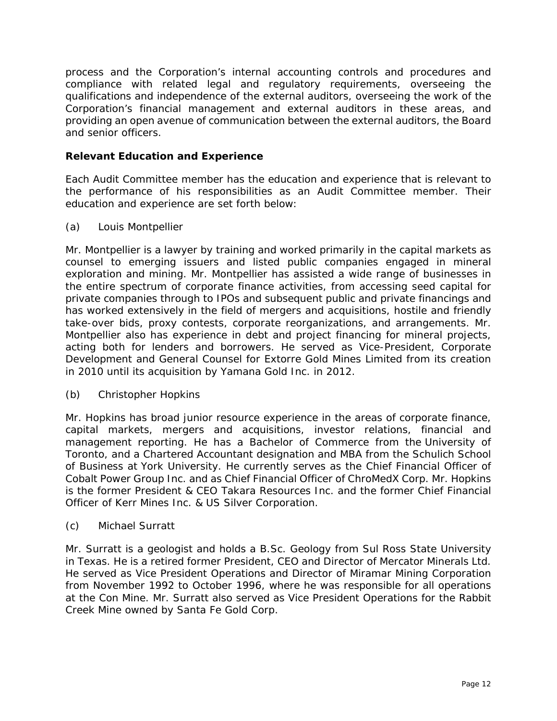process and the Corporation's internal accounting controls and procedures and compliance with related legal and regulatory requirements, overseeing the qualifications and independence of the external auditors, overseeing the work of the Corporation's financial management and external auditors in these areas, and providing an open avenue of communication between the external auditors, the Board and senior officers.

## **Relevant Education and Experience**

Each Audit Committee member has the education and experience that is relevant to the performance of his responsibilities as an Audit Committee member. Their education and experience are set forth below:

(a) Louis Montpellier

Mr. Montpellier is a lawyer by training and worked primarily in the capital markets as counsel to emerging issuers and listed public companies engaged in mineral exploration and mining. Mr. Montpellier has assisted a wide range of businesses in the entire spectrum of corporate finance activities, from accessing seed capital for private companies through to IPOs and subsequent public and private financings and has worked extensively in the field of mergers and acquisitions, hostile and friendly take-over bids, proxy contests, corporate reorganizations, and arrangements. Mr. Montpellier also has experience in debt and project financing for mineral projects, acting both for lenders and borrowers. He served as Vice-President, Corporate Development and General Counsel for Extorre Gold Mines Limited from its creation in 2010 until its acquisition by Yamana Gold Inc. in 2012.

(b) Christopher Hopkins

Mr. Hopkins has broad junior resource experience in the areas of corporate finance, capital markets, mergers and acquisitions, investor relations, financial and management reporting. He has a Bachelor of Commerce from the University of Toronto, and a Chartered Accountant designation and MBA from the Schulich School of Business at York University. He currently serves as the Chief Financial Officer of Cobalt Power Group Inc. and as Chief Financial Officer of ChroMedX Corp. Mr. Hopkins is the former President & CEO Takara Resources Inc. and the former Chief Financial Officer of Kerr Mines Inc. & US Silver Corporation.

(c) Michael Surratt

Mr. Surratt is a geologist and holds a B.Sc. Geology from Sul Ross State University in Texas. He is a retired former President, CEO and Director of Mercator Minerals Ltd. He served as Vice President Operations and Director of Miramar Mining Corporation from November 1992 to October 1996, where he was responsible for all operations at the Con Mine. Mr. Surratt also served as Vice President Operations for the Rabbit Creek Mine owned by Santa Fe Gold Corp.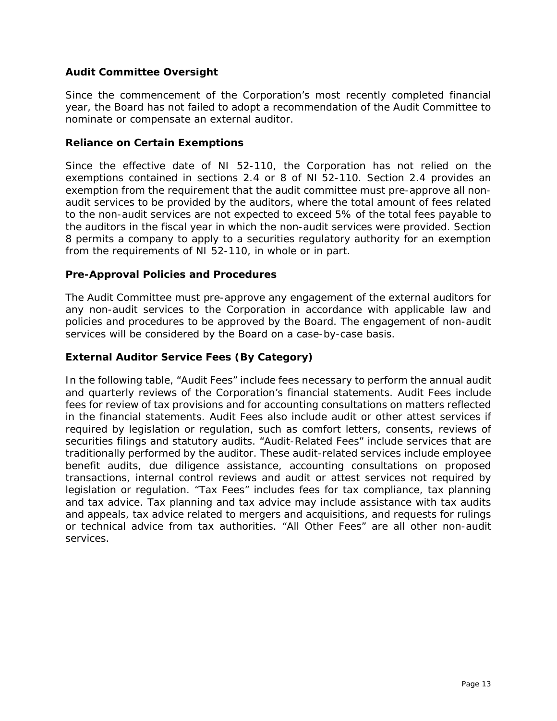## **Audit Committee Oversight**

Since the commencement of the Corporation's most recently completed financial year, the Board has not failed to adopt a recommendation of the Audit Committee to nominate or compensate an external auditor.

#### **Reliance on Certain Exemptions**

Since the effective date of NI 52-110, the Corporation has not relied on the exemptions contained in sections 2.4 or 8 of NI 52-110. Section 2.4 provides an exemption from the requirement that the audit committee must pre-approve all nonaudit services to be provided by the auditors, where the total amount of fees related to the non-audit services are not expected to exceed 5% of the total fees payable to the auditors in the fiscal year in which the non-audit services were provided. Section 8 permits a company to apply to a securities regulatory authority for an exemption from the requirements of NI 52-110, in whole or in part.

#### **Pre-Approval Policies and Procedures**

The Audit Committee must pre-approve any engagement of the external auditors for any non-audit services to the Corporation in accordance with applicable law and policies and procedures to be approved by the Board. The engagement of non-audit services will be considered by the Board on a case-by-case basis.

#### **External Auditor Service Fees (By Category)**

In the following table, "Audit Fees" include fees necessary to perform the annual audit and quarterly reviews of the Corporation's financial statements. Audit Fees include fees for review of tax provisions and for accounting consultations on matters reflected in the financial statements. Audit Fees also include audit or other attest services if required by legislation or regulation, such as comfort letters, consents, reviews of securities filings and statutory audits. "Audit-Related Fees" include services that are traditionally performed by the auditor. These audit-related services include employee benefit audits, due diligence assistance, accounting consultations on proposed transactions, internal control reviews and audit or attest services not required by legislation or regulation. "Tax Fees" includes fees for tax compliance, tax planning and tax advice. Tax planning and tax advice may include assistance with tax audits and appeals, tax advice related to mergers and acquisitions, and requests for rulings or technical advice from tax authorities. "All Other Fees" are all other non-audit services.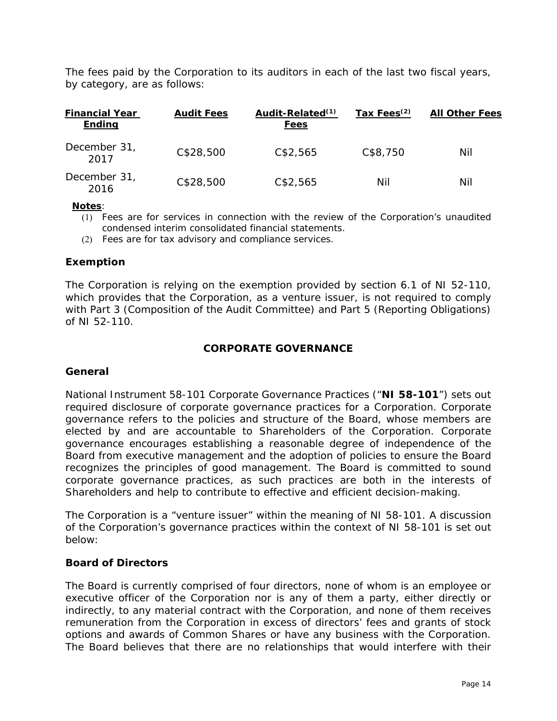The fees paid by the Corporation to its auditors in each of the last two fiscal years, by category, are as follows:

| <b>Financial Year</b><br>Ending | <b>Audit Fees</b> | Audit-Related <sup>(1)</sup><br>Fees | Tax Fees $(2)$ | <b>All Other Fees</b> |
|---------------------------------|-------------------|--------------------------------------|----------------|-----------------------|
| December 31,<br>2017            | C\$28,500         | C\$2,565                             | C\$8,750       | Nil                   |
| December 31<br>2016             | C\$28,500         | C\$2,565                             | Nil            | Nil                   |

#### **Notes**:

- (1) Fees are for services in connection with the review of the Corporation's unaudited condensed interim consolidated financial statements.
- (2) Fees are for tax advisory and compliance services.

#### **Exemption**

The Corporation is relying on the exemption provided by section 6.1 of NI 52-110, which provides that the Corporation, as a venture issuer, is not required to comply with Part 3 (*Composition of the Audit Committee*) and Part 5 (*Reporting Obligations*) of NI 52-110.

#### **CORPORATE GOVERNANCE**

#### **General**

National Instrument 58-101 *Corporate Governance Practices* ("**NI 58-101**") sets out required disclosure of corporate governance practices for a Corporation. Corporate governance refers to the policies and structure of the Board, whose members are elected by and are accountable to Shareholders of the Corporation. Corporate governance encourages establishing a reasonable degree of independence of the Board from executive management and the adoption of policies to ensure the Board recognizes the principles of good management. The Board is committed to sound corporate governance practices, as such practices are both in the interests of Shareholders and help to contribute to effective and efficient decision-making.

The Corporation is a "venture issuer" within the meaning of NI 58-101. A discussion of the Corporation's governance practices within the context of NI 58-101 is set out below:

#### **Board of Directors**

The Board is currently comprised of four directors, none of whom is an employee or executive officer of the Corporation nor is any of them a party, either directly or indirectly, to any material contract with the Corporation, and none of them receives remuneration from the Corporation in excess of directors' fees and grants of stock options and awards of Common Shares or have any business with the Corporation. The Board believes that there are no relationships that would interfere with their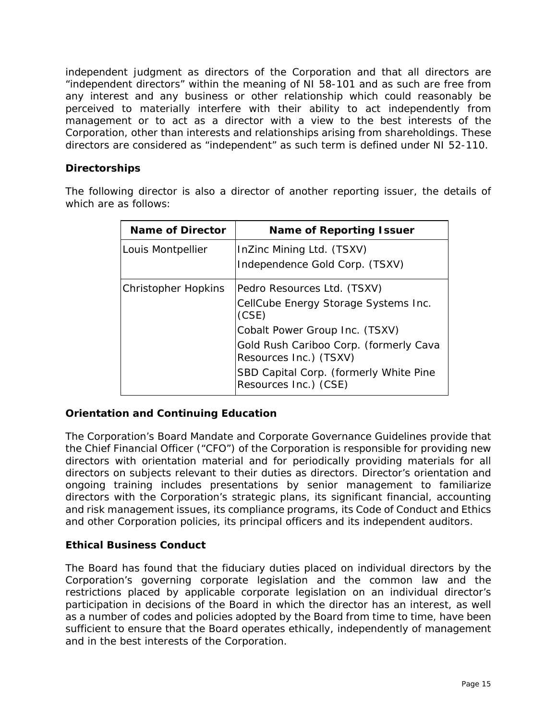independent judgment as directors of the Corporation and that all directors are "independent directors" within the meaning of NI 58-101 and as such are free from any interest and any business or other relationship which could reasonably be perceived to materially interfere with their ability to act independently from management or to act as a director with a view to the best interests of the Corporation, other than interests and relationships arising from shareholdings. These directors are considered as "independent" as such term is defined under NI 52-110.

## **Directorships**

The following director is also a director of another reporting issuer, the details of which are as follows:

| Name of Director    | <b>Name of Reporting Issuer</b>                                                                                                                                                                                                                       |
|---------------------|-------------------------------------------------------------------------------------------------------------------------------------------------------------------------------------------------------------------------------------------------------|
| Louis Montpellier   | InZinc Mining Ltd. (TSXV)<br>Independence Gold Corp. (TSXV)                                                                                                                                                                                           |
| Christopher Hopkins | Pedro Resources Ltd. (TSXV)<br>CellCube Energy Storage Systems Inc.<br>(CSE)<br>Cobalt Power Group Inc. (TSXV)<br>Gold Rush Cariboo Corp. (formerly Cava<br>Resources Inc.) (TSXV)<br>SBD Capital Corp. (formerly White Pine<br>Resources Inc.) (CSE) |

#### **Orientation and Continuing Education**

The Corporation's Board Mandate and Corporate Governance Guidelines provide that the Chief Financial Officer ("CFO") of the Corporation is responsible for providing new directors with orientation material and for periodically providing materials for all directors on subjects relevant to their duties as directors. Director's orientation and ongoing training includes presentations by senior management to familiarize directors with the Corporation's strategic plans, its significant financial, accounting and risk management issues, its compliance programs, its Code of Conduct and Ethics and other Corporation policies, its principal officers and its independent auditors.

#### **Ethical Business Conduct**

The Board has found that the fiduciary duties placed on individual directors by the Corporation's governing corporate legislation and the common law and the restrictions placed by applicable corporate legislation on an individual director's participation in decisions of the Board in which the director has an interest, as well as a number of codes and policies adopted by the Board from time to time, have been sufficient to ensure that the Board operates ethically, independently of management and in the best interests of the Corporation.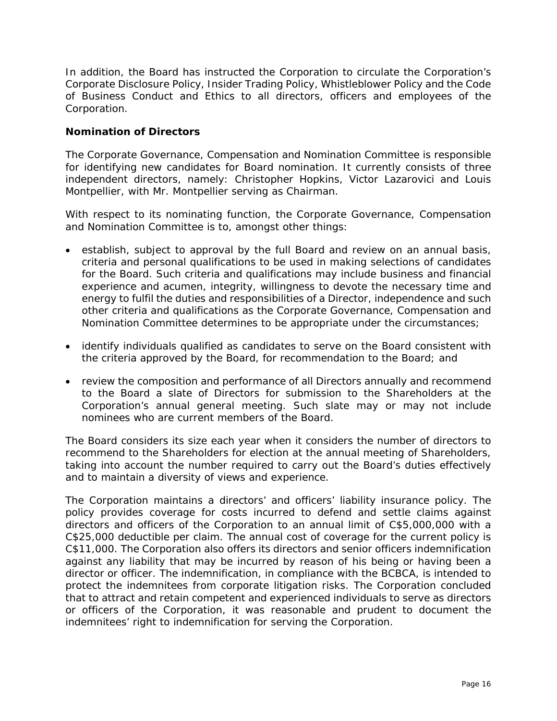In addition, the Board has instructed the Corporation to circulate the Corporation's Corporate Disclosure Policy, Insider Trading Policy, Whistleblower Policy and the Code of Business Conduct and Ethics to all directors, officers and employees of the Corporation.

## **Nomination of Directors**

The Corporate Governance, Compensation and Nomination Committee is responsible for identifying new candidates for Board nomination. It currently consists of three independent directors, namely: Christopher Hopkins, Victor Lazarovici and Louis Montpellier, with Mr. Montpellier serving as Chairman.

With respect to its nominating function, the Corporate Governance, Compensation and Nomination Committee is to, amongst other things:

- establish, subject to approval by the full Board and review on an annual basis, criteria and personal qualifications to be used in making selections of candidates for the Board. Such criteria and qualifications may include business and financial experience and acumen, integrity, willingness to devote the necessary time and energy to fulfil the duties and responsibilities of a Director, independence and such other criteria and qualifications as the Corporate Governance, Compensation and Nomination Committee determines to be appropriate under the circumstances;
- identify individuals qualified as candidates to serve on the Board consistent with the criteria approved by the Board, for recommendation to the Board; and
- review the composition and performance of all Directors annually and recommend to the Board a slate of Directors for submission to the Shareholders at the Corporation's annual general meeting. Such slate may or may not include nominees who are current members of the Board.

The Board considers its size each year when it considers the number of directors to recommend to the Shareholders for election at the annual meeting of Shareholders, taking into account the number required to carry out the Board's duties effectively and to maintain a diversity of views and experience.

The Corporation maintains a directors' and officers' liability insurance policy. The policy provides coverage for costs incurred to defend and settle claims against directors and officers of the Corporation to an annual limit of C\$5,000,000 with a C\$25,000 deductible per claim. The annual cost of coverage for the current policy is C\$11,000. The Corporation also offers its directors and senior officers indemnification against any liability that may be incurred by reason of his being or having been a director or officer. The indemnification, in compliance with the BCBCA, is intended to protect the indemnitees from corporate litigation risks. The Corporation concluded that to attract and retain competent and experienced individuals to serve as directors or officers of the Corporation, it was reasonable and prudent to document the indemnitees' right to indemnification for serving the Corporation.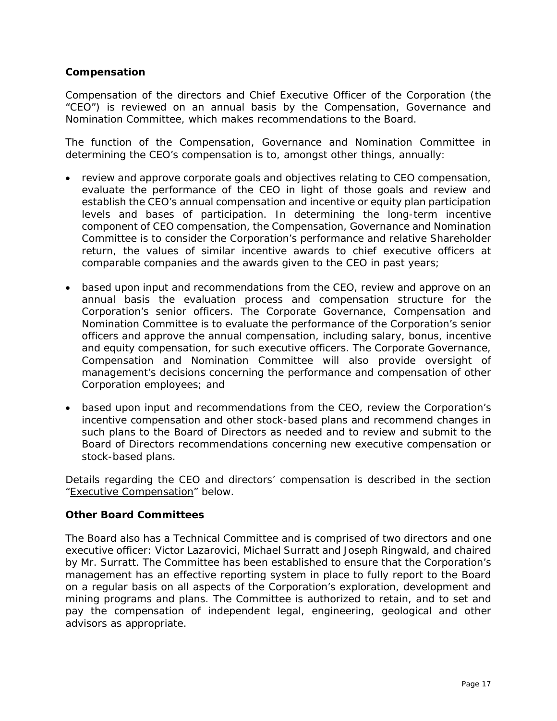#### **Compensation**

Compensation of the directors and Chief Executive Officer of the Corporation (the "CEO") is reviewed on an annual basis by the Compensation, Governance and Nomination Committee, which makes recommendations to the Board.

The function of the Compensation, Governance and Nomination Committee in determining the CEO's compensation is to, amongst other things, annually:

- review and approve corporate goals and objectives relating to CEO compensation, evaluate the performance of the CEO in light of those goals and review and establish the CEO's annual compensation and incentive or equity plan participation levels and bases of participation. In determining the long-term incentive component of CEO compensation, the Compensation, Governance and Nomination Committee is to consider the Corporation's performance and relative Shareholder return, the values of similar incentive awards to chief executive officers at comparable companies and the awards given to the CEO in past years;
- based upon input and recommendations from the CEO, review and approve on an annual basis the evaluation process and compensation structure for the Corporation's senior officers. The Corporate Governance, Compensation and Nomination Committee is to evaluate the performance of the Corporation's senior officers and approve the annual compensation, including salary, bonus, incentive and equity compensation, for such executive officers. The Corporate Governance, Compensation and Nomination Committee will also provide oversight of management's decisions concerning the performance and compensation of other Corporation employees; and
- based upon input and recommendations from the CEO, review the Corporation's incentive compensation and other stock-based plans and recommend changes in such plans to the Board of Directors as needed and to review and submit to the Board of Directors recommendations concerning new executive compensation or stock-based plans.

Details regarding the CEO and directors' compensation is described in the section "Executive Compensation" below.

#### **Other Board Committees**

The Board also has a Technical Committee and is comprised of two directors and one executive officer: Victor Lazarovici, Michael Surratt and Joseph Ringwald, and chaired by Mr. Surratt. The Committee has been established to ensure that the Corporation's management has an effective reporting system in place to fully report to the Board on a regular basis on all aspects of the Corporation's exploration, development and mining programs and plans. The Committee is authorized to retain, and to set and pay the compensation of independent legal, engineering, geological and other advisors as appropriate.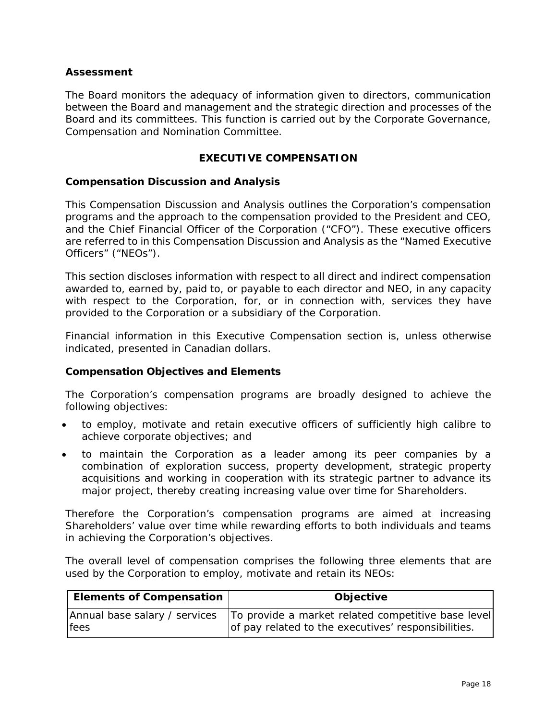#### **Assessment**

The Board monitors the adequacy of information given to directors, communication between the Board and management and the strategic direction and processes of the Board and its committees. This function is carried out by the Corporate Governance, Compensation and Nomination Committee.

#### **EXECUTIVE COMPENSATION**

#### **Compensation Discussion and Analysis**

This Compensation Discussion and Analysis outlines the Corporation's compensation programs and the approach to the compensation provided to the President and CEO, and the Chief Financial Officer of the Corporation ("CFO"). These executive officers are referred to in this Compensation Discussion and Analysis as the "Named Executive Officers" ("NEOs").

This section discloses information with respect to all direct and indirect compensation awarded to, earned by, paid to, or payable to each director and NEO, in any capacity with respect to the Corporation, for, or in connection with, services they have provided to the Corporation or a subsidiary of the Corporation.

Financial information in this Executive Compensation section is, unless otherwise indicated, presented in Canadian dollars.

#### *Compensation Objectives and Elements*

The Corporation's compensation programs are broadly designed to achieve the following objectives:

- to employ, motivate and retain executive officers of sufficiently high calibre to achieve corporate objectives; and
- to maintain the Corporation as a leader among its peer companies by a combination of exploration success, property development, strategic property acquisitions and working in cooperation with its strategic partner to advance its major project, thereby creating increasing value over time for Shareholders.

Therefore the Corporation's compensation programs are aimed at increasing Shareholders' value over time while rewarding efforts to both individuals and teams in achieving the Corporation's objectives.

The overall level of compensation comprises the following three elements that are used by the Corporation to employ, motivate and retain its NEOs:

| <b>Elements of Compensation</b> | Objective                                                                          |
|---------------------------------|------------------------------------------------------------------------------------|
|                                 | Annual base salary / services   To provide a market related competitive base level |
| <b>lfees</b>                    | of pay related to the executives' responsibilities.                                |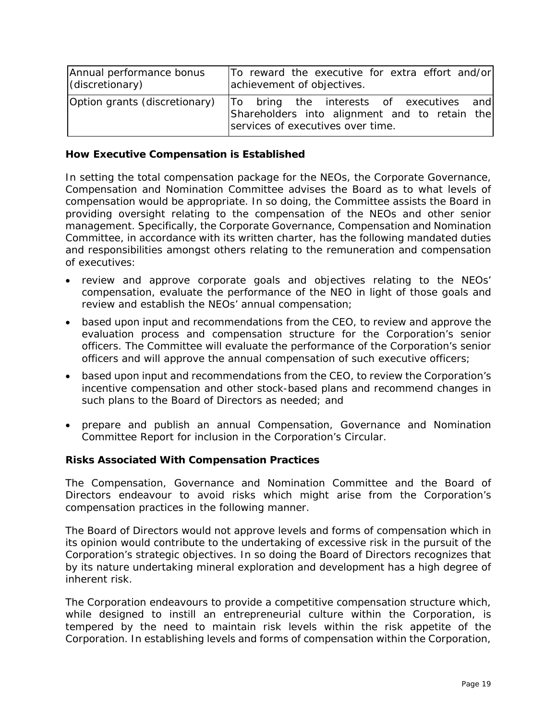| Annual performance bonus      | To reward the executive for extra effort and/or                                                                                |
|-------------------------------|--------------------------------------------------------------------------------------------------------------------------------|
| (discretionary)               | achievement of objectives.                                                                                                     |
| Option grants (discretionary) | To bring the interests of executives and<br>Shareholders into alignment and to retain the<br>services of executives over time. |

#### *How Executive Compensation is Established*

In setting the total compensation package for the NEOs, the Corporate Governance, Compensation and Nomination Committee advises the Board as to what levels of compensation would be appropriate. In so doing, the Committee assists the Board in providing oversight relating to the compensation of the NEOs and other senior management. Specifically, the Corporate Governance, Compensation and Nomination Committee, in accordance with its written charter, has the following mandated duties and responsibilities amongst others relating to the remuneration and compensation of executives:

- review and approve corporate goals and objectives relating to the NEOs' compensation, evaluate the performance of the NEO in light of those goals and review and establish the NEOs' annual compensation;
- based upon input and recommendations from the CEO, to review and approve the evaluation process and compensation structure for the Corporation's senior officers. The Committee will evaluate the performance of the Corporation's senior officers and will approve the annual compensation of such executive officers;
- based upon input and recommendations from the CEO, to review the Corporation's incentive compensation and other stock-based plans and recommend changes in such plans to the Board of Directors as needed; and
- prepare and publish an annual Compensation, Governance and Nomination Committee Report for inclusion in the Corporation's Circular.

## *Risks Associated With Compensation Practices*

The Compensation, Governance and Nomination Committee and the Board of Directors endeavour to avoid risks which might arise from the Corporation's compensation practices in the following manner.

The Board of Directors would not approve levels and forms of compensation which in its opinion would contribute to the undertaking of excessive risk in the pursuit of the Corporation's strategic objectives. In so doing the Board of Directors recognizes that by its nature undertaking mineral exploration and development has a high degree of inherent risk.

The Corporation endeavours to provide a competitive compensation structure which, while designed to instill an entrepreneurial culture within the Corporation, is tempered by the need to maintain risk levels within the risk appetite of the Corporation. In establishing levels and forms of compensation within the Corporation,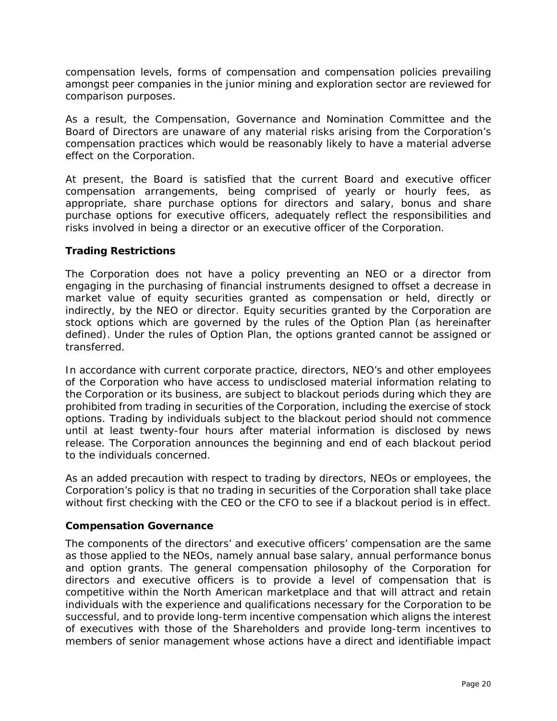compensation levels, forms of compensation and compensation policies prevailing amongst peer companies in the junior mining and exploration sector are reviewed for comparison purposes.

As a result, the Compensation, Governance and Nomination Committee and the Board of Directors are unaware of any material risks arising from the Corporation's compensation practices which would be reasonably likely to have a material adverse effect on the Corporation.

At present, the Board is satisfied that the current Board and executive officer compensation arrangements, being comprised of yearly or hourly fees, as appropriate, share purchase options for directors and salary, bonus and share purchase options for executive officers, adequately reflect the responsibilities and risks involved in being a director or an executive officer of the Corporation.

## *Trading Restrictions*

The Corporation does not have a policy preventing an NEO or a director from engaging in the purchasing of financial instruments designed to offset a decrease in market value of equity securities granted as compensation or held, directly or indirectly, by the NEO or director. Equity securities granted by the Corporation are stock options which are governed by the rules of the Option Plan (as hereinafter defined). Under the rules of Option Plan, the options granted cannot be assigned or transferred.

In accordance with current corporate practice, directors, NEO's and other employees of the Corporation who have access to undisclosed material information relating to the Corporation or its business, are subject to blackout periods during which they are prohibited from trading in securities of the Corporation, including the exercise of stock options. Trading by individuals subject to the blackout period should not commence until at least twenty-four hours after material information is disclosed by news release. The Corporation announces the beginning and end of each blackout period to the individuals concerned.

As an added precaution with respect to trading by directors, NEOs or employees, the Corporation's policy is that no trading in securities of the Corporation shall take place without first checking with the CEO or the CFO to see if a blackout period is in effect.

## **Compensation Governance**

The components of the directors' and executive officers' compensation are the same as those applied to the NEOs, namely annual base salary, annual performance bonus and option grants. The general compensation philosophy of the Corporation for directors and executive officers is to provide a level of compensation that is competitive within the North American marketplace and that will attract and retain individuals with the experience and qualifications necessary for the Corporation to be successful, and to provide long-term incentive compensation which aligns the interest of executives with those of the Shareholders and provide long-term incentives to members of senior management whose actions have a direct and identifiable impact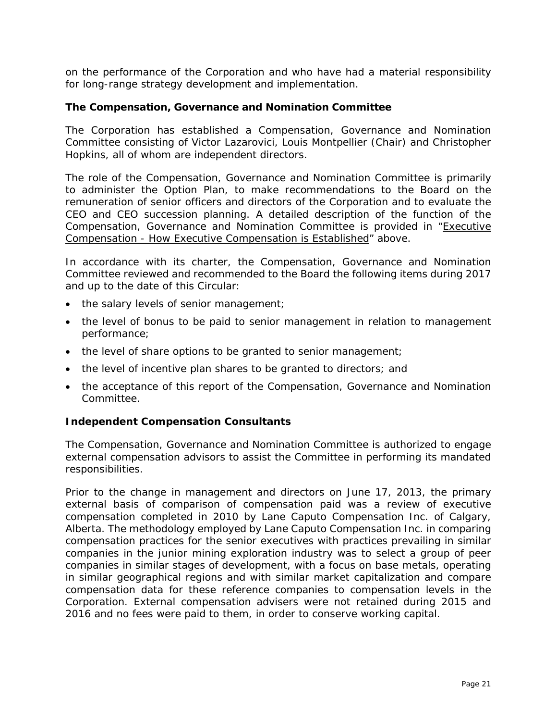on the performance of the Corporation and who have had a material responsibility for long-range strategy development and implementation.

## *The Compensation, Governance and Nomination Committee*

The Corporation has established a Compensation, Governance and Nomination Committee consisting of Victor Lazarovici, Louis Montpellier (Chair) and Christopher Hopkins, all of whom are independent directors.

The role of the Compensation, Governance and Nomination Committee is primarily to administer the Option Plan, to make recommendations to the Board on the remuneration of senior officers and directors of the Corporation and to evaluate the CEO and CEO succession planning. A detailed description of the function of the Compensation, Governance and Nomination Committee is provided in "Executive Compensation - How Executive Compensation is Established" above.

In accordance with its charter, the Compensation, Governance and Nomination Committee reviewed and recommended to the Board the following items during 2017 and up to the date of this Circular:

- the salary levels of senior management;
- the level of bonus to be paid to senior management in relation to management performance;
- $\bullet$  the level of share options to be granted to senior management;
- the level of incentive plan shares to be granted to directors; and
- the acceptance of this report of the Compensation, Governance and Nomination Committee.

#### *Independent Compensation Consultants*

The Compensation, Governance and Nomination Committee is authorized to engage external compensation advisors to assist the Committee in performing its mandated responsibilities.

Prior to the change in management and directors on June 17, 2013, the primary external basis of comparison of compensation paid was a review of executive compensation completed in 2010 by Lane Caputo Compensation Inc. of Calgary, Alberta. The methodology employed by Lane Caputo Compensation Inc. in comparing compensation practices for the senior executives with practices prevailing in similar companies in the junior mining exploration industry was to select a group of peer companies in similar stages of development, with a focus on base metals, operating in similar geographical regions and with similar market capitalization and compare compensation data for these reference companies to compensation levels in the Corporation. External compensation advisers were not retained during 2015 and 2016 and no fees were paid to them, in order to conserve working capital.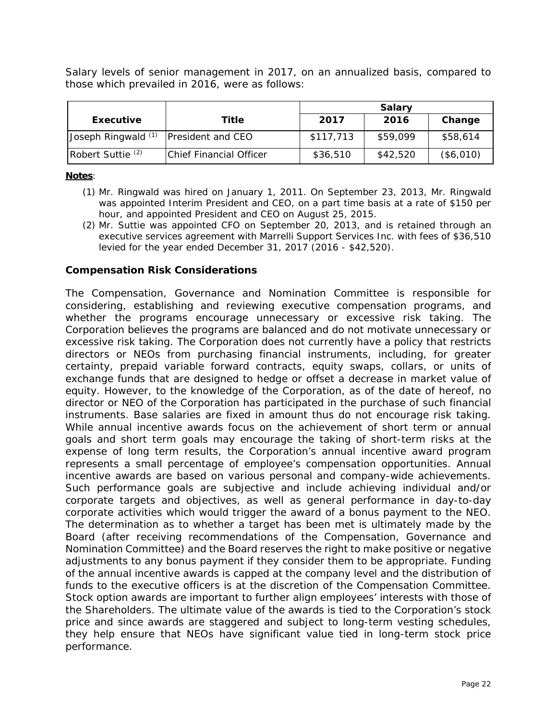Salary levels of senior management in 2017, on an annualized basis, compared to those which prevailed in 2016, were as follows:

|                              |                          | <b>Salary</b> |          |           |
|------------------------------|--------------------------|---------------|----------|-----------|
| Executive                    | Title                    | 2017          | 2016     | Change    |
| Joseph Ringwald (1)          | President and CEO        | \$117,713     | \$59,099 | \$58,614  |
| Robert Suttie <sup>(2)</sup> | IChief Financial Officer | \$36,510      | \$42,520 | (\$6,010) |

#### **Notes**:

- (1) Mr. Ringwald was hired on January 1, 2011. On September 23, 2013, Mr. Ringwald was appointed Interim President and CEO, on a part time basis at a rate of \$150 per hour, and appointed President and CEO on August 25, 2015.
- (2) Mr. Suttie was appointed CFO on September 20, 2013, and is retained through an executive services agreement with Marrelli Support Services Inc. with fees of \$36,510 levied for the year ended December 31, 2017 (2016 - \$42,520).

#### **Compensation Risk Considerations**

The Compensation, Governance and Nomination Committee is responsible for considering, establishing and reviewing executive compensation programs, and whether the programs encourage unnecessary or excessive risk taking. The Corporation believes the programs are balanced and do not motivate unnecessary or excessive risk taking. The Corporation does not currently have a policy that restricts directors or NEOs from purchasing financial instruments, including, for greater certainty, prepaid variable forward contracts, equity swaps, collars, or units of exchange funds that are designed to hedge or offset a decrease in market value of equity. However, to the knowledge of the Corporation, as of the date of hereof, no director or NEO of the Corporation has participated in the purchase of such financial instruments. Base salaries are fixed in amount thus do not encourage risk taking. While annual incentive awards focus on the achievement of short term or annual goals and short term goals may encourage the taking of short-term risks at the expense of long term results, the Corporation's annual incentive award program represents a small percentage of employee's compensation opportunities. Annual incentive awards are based on various personal and company-wide achievements. Such performance goals are subjective and include achieving individual and/or corporate targets and objectives, as well as general performance in day-to-day corporate activities which would trigger the award of a bonus payment to the NEO. The determination as to whether a target has been met is ultimately made by the Board (after receiving recommendations of the Compensation, Governance and Nomination Committee) and the Board reserves the right to make positive or negative adjustments to any bonus payment if they consider them to be appropriate. Funding of the annual incentive awards is capped at the company level and the distribution of funds to the executive officers is at the discretion of the Compensation Committee. Stock option awards are important to further align employees' interests with those of the Shareholders. The ultimate value of the awards is tied to the Corporation's stock price and since awards are staggered and subject to long-term vesting schedules, they help ensure that NEOs have significant value tied in long-term stock price performance.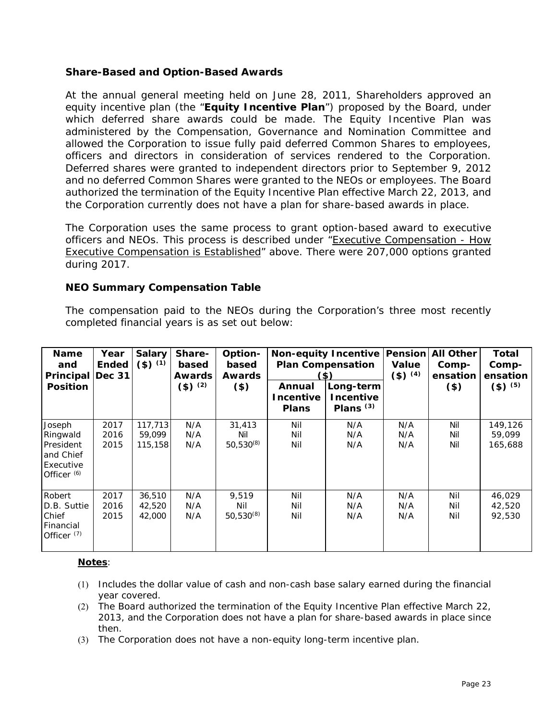#### **Share-Based and Option-Based Awards**

At the annual general meeting held on June 28, 2011, Shareholders approved an equity incentive plan (the "**Equity Incentive Plan**") proposed by the Board, under which deferred share awards could be made. The Equity Incentive Plan was administered by the Compensation, Governance and Nomination Committee and allowed the Corporation to issue fully paid deferred Common Shares to employees, officers and directors in consideration of services rendered to the Corporation. Deferred shares were granted to independent directors prior to September 9, 2012 and no deferred Common Shares were granted to the NEOs or employees. The Board authorized the termination of the Equity Incentive Plan effective March 22, 2013, and the Corporation currently does not have a plan for share-based awards in place.

The Corporation uses the same process to grant option-based award to executive officers and NEOs. This process is described under "Executive Compensation - How Executive Compensation is Established" above. There were 207,000 options granted during 2017.

## **NEO Summary Compensation Table**

The compensation paid to the NEOs during the Corporation's three most recently completed financial years is as set out below:

| <b>Name</b><br>and<br>Principal Dec 31                                                      | Year<br><b>Ended</b> | <b>Salary</b><br>$($ \$) $(1)$ | Share-<br>based<br><b>Awards</b> | Option-<br>based<br>Awards      | Non-equity Incentive Pension All Other<br><b>Plan Compensation</b><br>′\$` |                                              | Value<br>$($ \$) $^{(4)}$ | Comp-<br>ensation | Total<br>Comp-<br>ensation   |
|---------------------------------------------------------------------------------------------|----------------------|--------------------------------|----------------------------------|---------------------------------|----------------------------------------------------------------------------|----------------------------------------------|---------------------------|-------------------|------------------------------|
| <b>Position</b>                                                                             |                      |                                | $($ \$) $(2)$                    | $($ \$)                         | Annual<br><b>Incentive</b><br><b>Plans</b>                                 | Long-term<br><b>Incentive</b><br>Plans $(3)$ |                           | $($ \$)           | $(5)$ (5)                    |
| Joseph<br>Ringwald<br><b>IPresident</b><br>and Chief<br>Executive<br>Officer <sup>(6)</sup> | 2017<br>2016<br>2015 | 117,713<br>59,099<br>115,158   | N/A<br>N/A<br>N/A                | 31,413<br>Nil<br>$50,530^{(8)}$ | Nil<br>Nil<br>Nil                                                          | N/A<br>N/A<br>N/A                            | N/A<br>N/A<br>N/A         | Nil<br>Nil<br>Nil | 149,126<br>59,099<br>165,688 |
| Robert<br>D.B. Suttie<br>Chief<br> Financial<br>Officer <sup>(7)</sup>                      | 2017<br>2016<br>2015 | 36,510<br>42,520<br>42,000     | N/A<br>N/A<br>N/A                | 9.519<br>Nil<br>$50,530^{(8)}$  | Nil<br>Nil<br>Nil                                                          | N/A<br>N/A<br>N/A                            | N/A<br>N/A<br>N/A         | Nil<br>Nil<br>Nil | 46,029<br>42,520<br>92,530   |

#### **Notes**:

- (1) Includes the dollar value of cash and non-cash base salary earned during the financial year covered.
- (2) The Board authorized the termination of the Equity Incentive Plan effective March 22, 2013, and the Corporation does not have a plan for share-based awards in place since then.
- (3) The Corporation does not have a non-equity long-term incentive plan.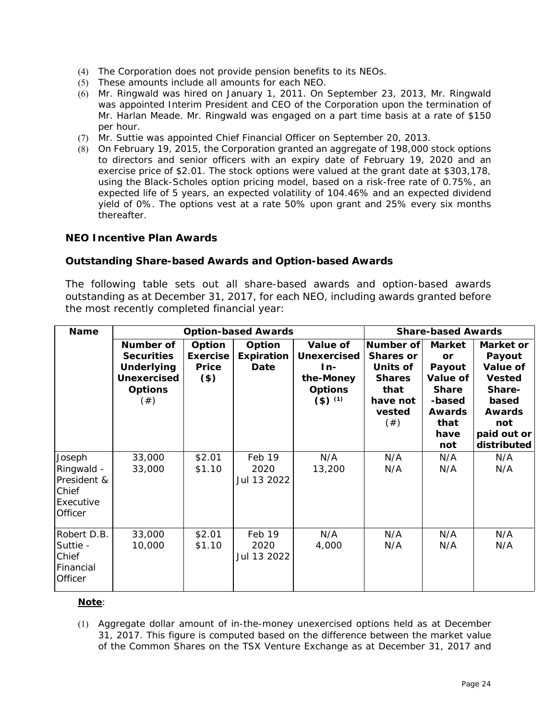- (4) The Corporation does not provide pension benefits to its NEOs.
- (5) These amounts include all amounts for each NEO.
- (6) Mr. Ringwald was hired on January 1, 2011. On September 23, 2013, Mr. Ringwald was appointed Interim President and CEO of the Corporation upon the termination of Mr. Harlan Meade. Mr. Ringwald was engaged on a part time basis at a rate of \$150 per hour.
- (7) Mr. Suttie was appointed Chief Financial Officer on September 20, 2013.
- (8) On February 19, 2015, the Corporation granted an aggregate of 198,000 stock options to directors and senior officers with an expiry date of February 19, 2020 and an exercise price of \$2.01. The stock options were valued at the grant date at \$303,178, using the Black-Scholes option pricing model, based on a risk-free rate of 0.75%, an expected life of 5 years, an expected volatility of 104.46% and an expected dividend yield of 0%. The options vest at a rate 50% upon grant and 25% every six months thereafter.

#### **NEO Incentive Plan Awards**

#### *Outstanding Share-based Awards and Option-based Awards*

The following table sets out all share-based awards and option-based awards outstanding as at December 31, 2017, for each NEO, including awards granted before the most recently completed financial year:

| <b>Name</b>                                                          |                                                                                                |                                                      | <b>Option-based Awards</b>          |                                                                                              |                                                                                                    | <b>Share-based Awards</b>                                                                                   |                                                                                                                           |
|----------------------------------------------------------------------|------------------------------------------------------------------------------------------------|------------------------------------------------------|-------------------------------------|----------------------------------------------------------------------------------------------|----------------------------------------------------------------------------------------------------|-------------------------------------------------------------------------------------------------------------|---------------------------------------------------------------------------------------------------------------------------|
|                                                                      | Number of<br><b>Securities</b><br>Underlying<br><b>Unexercised</b><br><b>Options</b><br>$(\#)$ | Option<br><b>Exercise</b><br><b>Price</b><br>$($ \$) | Option<br><b>Expiration</b><br>Date | <b>Value of</b><br><b>Unexercised</b><br>In-<br>the-Money<br><b>Options</b><br>$($ \$) $(1)$ | Number of<br><b>Shares or</b><br>Units of<br><b>Shares</b><br>that<br>have not<br>vested<br>$(\#)$ | <b>Market</b><br><b>or</b><br>Payout<br>Value of<br><b>Share</b><br>-based<br>Awards<br>that<br>have<br>not | Market or<br>Payout<br>Value of<br><b>Vested</b><br>Share-<br>based<br><b>Awards</b><br>not<br>paid out or<br>distributed |
| Joseph<br>Ringwald -<br>President &<br>Chief<br>Executive<br>Officer | 33,000<br>33,000                                                                               | \$2.01<br>\$1.10                                     | Feb 19<br>2020<br>Jul 13 2022       | N/A<br>13,200                                                                                | N/A<br>N/A                                                                                         | N/A<br>N/A                                                                                                  | N/A<br>N/A                                                                                                                |
| Robert D.B.<br>Suttie -<br>Chief<br>Financial<br>Officer             | 33,000<br>10,000                                                                               | \$2.01<br>\$1.10                                     | Feb 19<br>2020<br>Jul 13 2022       | N/A<br>4,000                                                                                 | N/A<br>N/A                                                                                         | N/A<br>N/A                                                                                                  | N/A<br>N/A                                                                                                                |

## **Note**:

(1) Aggregate dollar amount of in-the-money unexercised options held as at December 31, 2017. This figure is computed based on the difference between the market value of the Common Shares on the TSX Venture Exchange as at December 31, 2017 and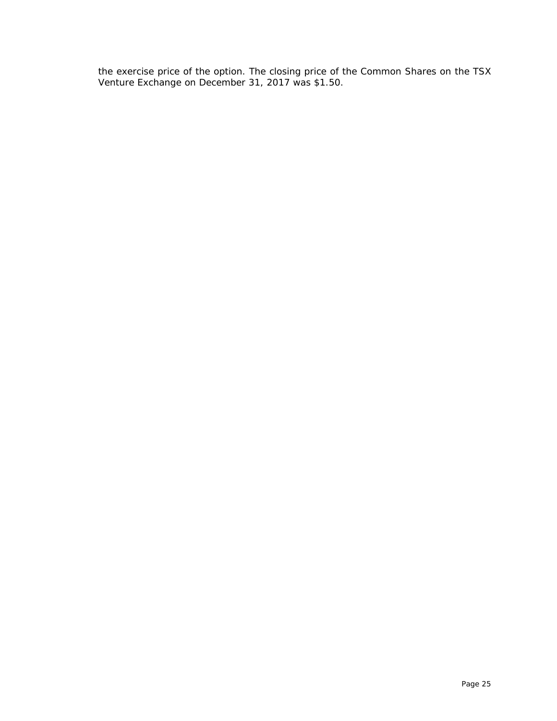the exercise price of the option. The closing price of the Common Shares on the TSX Venture Exchange on December 31, 2017 was \$1.50.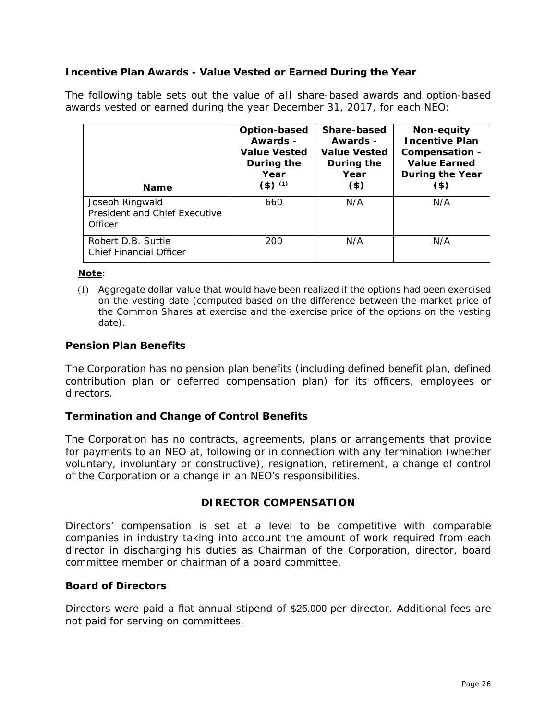## *Incentive Plan Awards - Value Vested or Earned During the Year*

The following table sets out the value of all share-based awards and option-based awards vested or earned during the year December 31, 2017, for each NEO:

| <b>Name</b>                                                 | Option-based<br>Awards -<br><b>Value Vested</b><br>During the<br>Year<br>(\$) (1) | Share-based<br>Awards -<br><b>Value Vested</b><br>During the<br>Year<br>$($ \$) | Non-equity<br><b>Incentive Plan</b><br>Compensation -<br><b>Value Earned</b><br><b>During the Year</b><br>(\$) |
|-------------------------------------------------------------|-----------------------------------------------------------------------------------|---------------------------------------------------------------------------------|----------------------------------------------------------------------------------------------------------------|
| Joseph Ringwald<br>President and Chief Executive<br>Officer | 660                                                                               | N/A                                                                             | N/A                                                                                                            |
| Robert D.B. Suttie<br><b>Chief Financial Officer</b>        | 200                                                                               | N/A                                                                             | N/A                                                                                                            |

#### **Note**:

(1) Aggregate dollar value that would have been realized if the options had been exercised on the vesting date (computed based on the difference between the market price of the Common Shares at exercise and the exercise price of the options on the vesting date).

#### **Pension Plan Benefits**

The Corporation has no pension plan benefits (including defined benefit plan, defined contribution plan or deferred compensation plan) for its officers, employees or directors.

#### **Termination and Change of Control Benefits**

The Corporation has no contracts, agreements, plans or arrangements that provide for payments to an NEO at, following or in connection with any termination (whether voluntary, involuntary or constructive), resignation, retirement, a change of control of the Corporation or a change in an NEO's responsibilities.

#### **DIRECTOR COMPENSATION**

Directors' compensation is set at a level to be competitive with comparable companies in industry taking into account the amount of work required from each director in discharging his duties as Chairman of the Corporation, director, board committee member or chairman of a board committee.

#### **Board of Directors**

Directors were paid a flat annual stipend of \$25,000 per director. Additional fees are not paid for serving on committees.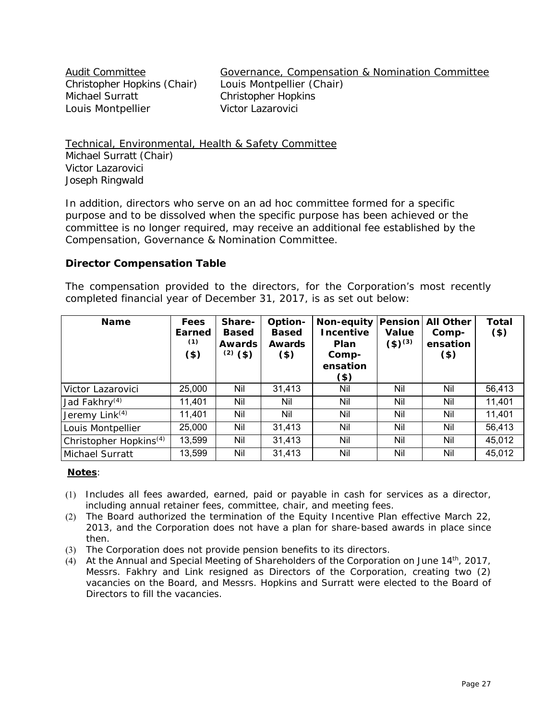Christopher Hopkins (Chair) Louis Montpellier (Chair) Michael Surratt Christopher Hopkins Louis Montpellier **Victor Lazarovici** 

Audit Committee **Governance, Compensation & Nomination Committee** 

Technical, Environmental, Health & Safety Committee Michael Surratt (Chair) Victor Lazarovici Joseph Ringwald

In addition, directors who serve on an ad hoc committee formed for a specific purpose and to be dissolved when the specific purpose has been achieved or the committee is no longer required, may receive an additional fee established by the Compensation, Governance & Nomination Committee.

#### **Director Compensation Table**

The compensation provided to the directors, for the Corporation's most recently completed financial year of December 31, 2017, is as set out below:

| <b>Name</b>                        | Fees<br>Earned<br>(1)<br>$($ \$) | Share-<br><b>Based</b><br><b>Awards</b><br>$(2)$ (\$) | Option-<br><b>Based</b><br><b>Awards</b><br>$($ \$) | Non-equity Pension<br><b>Incentive</b><br>Plan<br>Comp-<br>ensation<br>(\$) | Value<br>$($ \$) <sup>(3)</sup> | <b>All Other</b><br>Comp-<br>ensation<br>(\$) | <b>Total</b><br>$($ \$) |
|------------------------------------|----------------------------------|-------------------------------------------------------|-----------------------------------------------------|-----------------------------------------------------------------------------|---------------------------------|-----------------------------------------------|-------------------------|
| Victor Lazarovici                  | 25,000                           | Nil                                                   | 31,413                                              | Nil                                                                         | Nil                             | Nil                                           | 56,413                  |
| Jad Fakhry <sup>(4)</sup>          | 11,401                           | Nil                                                   | Nil                                                 | Nil                                                                         | Nil                             | Nil                                           | 11,401                  |
| Jeremy Link <sup>(4)</sup>         | 11,401                           | Nil                                                   | Nil                                                 | Nil                                                                         | Nil                             | Nil                                           | 11,401                  |
| Louis Montpellier                  | 25,000                           | Nil                                                   | 31,413                                              | Nil                                                                         | Nil                             | Nil                                           | 56,413                  |
| Christopher Hopkins <sup>(4)</sup> | 13,599                           | Nil                                                   | 31,413                                              | Nil                                                                         | Nil                             | Nil                                           | 45,012                  |
| Michael Surratt                    | 13,599                           | Nil                                                   | 31,413                                              | Nil                                                                         | Nil                             | Nil                                           | 45,012                  |

#### **Notes**:

- (1) Includes all fees awarded, earned, paid or payable in cash for services as a director, including annual retainer fees, committee, chair, and meeting fees.
- (2) The Board authorized the termination of the Equity Incentive Plan effective March 22, 2013, and the Corporation does not have a plan for share-based awards in place since then.
- (3) The Corporation does not provide pension benefits to its directors.
- (4) At the Annual and Special Meeting of Shareholders of the Corporation on June 14th, 2017, Messrs. Fakhry and Link resigned as Directors of the Corporation, creating two (2) vacancies on the Board, and Messrs. Hopkins and Surratt were elected to the Board of Directors to fill the vacancies.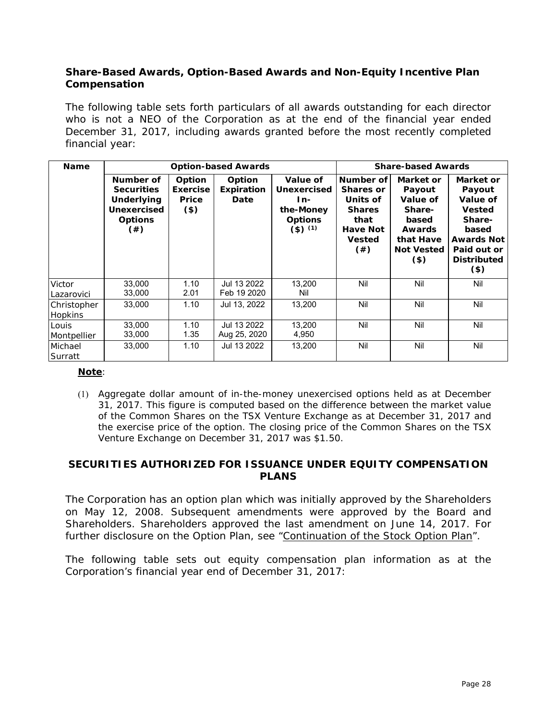## **Share-Based Awards, Option-Based Awards and Non-Equity Incentive Plan Compensation**

The following table sets forth particulars of all awards outstanding for each director who is not a NEO of the Corporation as at the end of the financial year ended December 31, 2017, including awards granted before the most recently completed financial year:

| <b>Name</b>            |                                                                                              |                                                      | <b>Option-based Awards</b>   | <b>Share-based Awards</b>                                                         |                                                                                                                    |                                                                                                           |                                                                                                                                          |
|------------------------|----------------------------------------------------------------------------------------------|------------------------------------------------------|------------------------------|-----------------------------------------------------------------------------------|--------------------------------------------------------------------------------------------------------------------|-----------------------------------------------------------------------------------------------------------|------------------------------------------------------------------------------------------------------------------------------------------|
|                        | Number of<br><b>Securities</b><br>Underlying<br><b>Unexercised</b><br><b>Options</b><br>(# ) | Option<br><b>Exercise</b><br><b>Price</b><br>$($ \$) | Option<br>Expiration<br>Date | Value of<br><b>Unexercised</b><br>In-<br>the-Money<br><b>Options</b><br>$(5)$ (1) | Number of<br><b>Shares or</b><br>Units of<br><b>Shares</b><br>that<br><b>Have Not</b><br><b>Vested</b><br>$^{(+)}$ | Market or<br>Payout<br>Value of<br>Share-<br>based<br>Awards<br>that Have<br><b>Not Vested</b><br>$($ \$) | Market or<br>Payout<br>Value of<br><b>Vested</b><br>Share-<br>based<br><b>Awards Not</b><br>Paid out or<br><b>Distributed</b><br>$($ \$) |
| Victor<br>Lazarovici   | 33,000<br>33,000                                                                             | 1.10<br>2.01                                         | Jul 13 2022<br>Feb 19 2020   | 13,200<br>Nil                                                                     | Nil                                                                                                                | Nil                                                                                                       | Nil                                                                                                                                      |
| Christopher<br>Hopkins | 33,000                                                                                       | 1.10                                                 | Jul 13, 2022                 | 13,200                                                                            | Nil                                                                                                                | Nil                                                                                                       | Nil                                                                                                                                      |
| Louis<br>Montpellier   | 33,000<br>33,000                                                                             | 1.10<br>1.35                                         | Jul 13 2022<br>Aug 25, 2020  | 13,200<br>4,950                                                                   | Nil                                                                                                                | Nil                                                                                                       | Nil                                                                                                                                      |
| Michael<br>Surratt     | 33,000                                                                                       | 1.10                                                 | Jul 13 2022                  | 13,200                                                                            | Nil                                                                                                                | Nil                                                                                                       | Nil                                                                                                                                      |

#### **Note**:

(1) Aggregate dollar amount of in-the-money unexercised options held as at December 31, 2017. This figure is computed based on the difference between the market value of the Common Shares on the TSX Venture Exchange as at December 31, 2017 and the exercise price of the option. The closing price of the Common Shares on the TSX Venture Exchange on December 31, 2017 was \$1.50.

#### **SECURITIES AUTHORIZED FOR ISSUANCE UNDER EQUITY COMPENSATION PLANS**

The Corporation has an option plan which was initially approved by the Shareholders on May 12, 2008. Subsequent amendments were approved by the Board and Shareholders. Shareholders approved the last amendment on June 14, 2017. For further disclosure on the Option Plan, see "Continuation of the Stock Option Plan".

The following table sets out equity compensation plan information as at the Corporation's financial year end of December 31, 2017: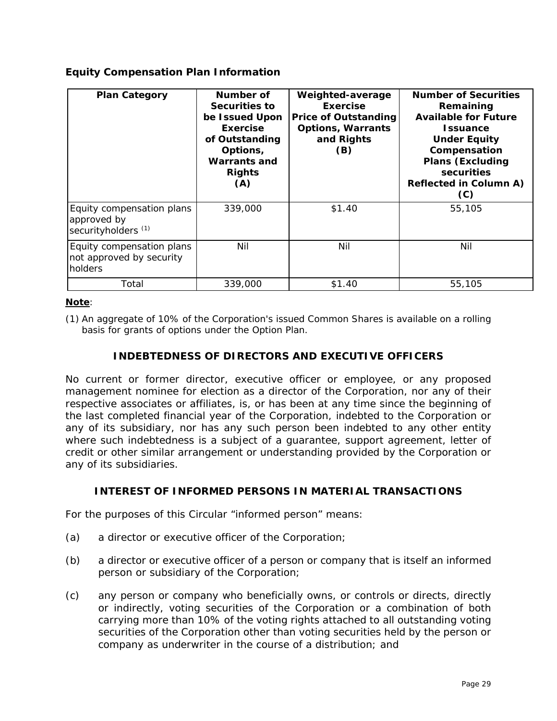## **Equity Compensation Plan Information**

| <b>Plan Category</b>                                                       | Number of<br>Securities to<br>be Issued Upon<br>Exercise<br>of Outstanding<br>Options,<br><b>Warrants and</b><br><b>Rights</b><br>(A) | Weighted-average<br>Exercise<br><b>Price of Outstanding</b><br><b>Options, Warrants</b><br>and Rights<br>(B) | <b>Number of Securities</b><br>Remaining<br><b>Available for Future</b><br><b>Issuance</b><br><b>Under Equity</b><br>Compensation<br><b>Plans (Excluding</b><br>securities<br><b>Reflected in Column A)</b><br>(C) |
|----------------------------------------------------------------------------|---------------------------------------------------------------------------------------------------------------------------------------|--------------------------------------------------------------------------------------------------------------|--------------------------------------------------------------------------------------------------------------------------------------------------------------------------------------------------------------------|
| Equity compensation plans<br>approved by<br>securityholders <sup>(1)</sup> | 339,000                                                                                                                               | \$1.40                                                                                                       | 55,105                                                                                                                                                                                                             |
| Equity compensation plans<br>not approved by security<br>holders           | Nil                                                                                                                                   | Nil                                                                                                          | Nil                                                                                                                                                                                                                |
| Total                                                                      | 339,000                                                                                                                               | \$1.40                                                                                                       | 55,105                                                                                                                                                                                                             |

#### **Note**:

(1) An aggregate of 10% of the Corporation's issued Common Shares is available on a rolling basis for grants of options under the Option Plan.

## **INDEBTEDNESS OF DIRECTORS AND EXECUTIVE OFFICERS**

No current or former director, executive officer or employee, or any proposed management nominee for election as a director of the Corporation, nor any of their respective associates or affiliates, is, or has been at any time since the beginning of the last completed financial year of the Corporation, indebted to the Corporation or any of its subsidiary, nor has any such person been indebted to any other entity where such indebtedness is a subject of a guarantee, support agreement, letter of credit or other similar arrangement or understanding provided by the Corporation or any of its subsidiaries.

#### **INTEREST OF INFORMED PERSONS IN MATERIAL TRANSACTIONS**

For the purposes of this Circular "informed person" means:

- (a) a director or executive officer of the Corporation;
- (b) a director or executive officer of a person or company that is itself an informed person or subsidiary of the Corporation;
- (c) any person or company who beneficially owns, or controls or directs, directly or indirectly, voting securities of the Corporation or a combination of both carrying more than 10% of the voting rights attached to all outstanding voting securities of the Corporation other than voting securities held by the person or company as underwriter in the course of a distribution; and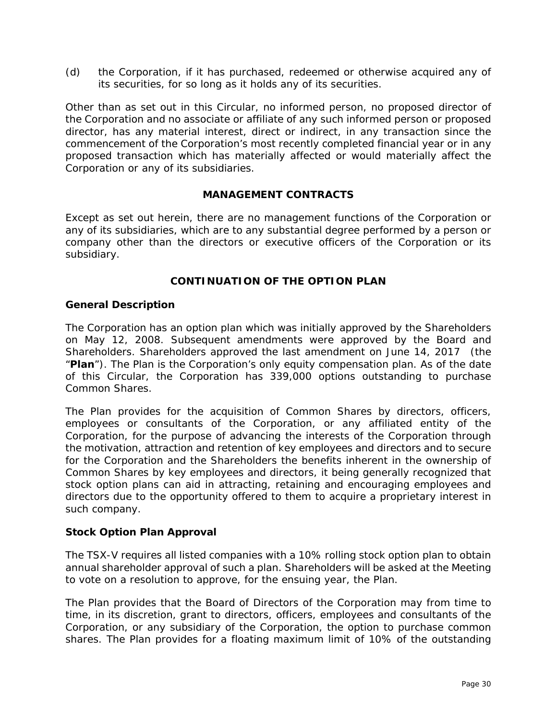(d) the Corporation, if it has purchased, redeemed or otherwise acquired any of its securities, for so long as it holds any of its securities.

Other than as set out in this Circular, no informed person, no proposed director of the Corporation and no associate or affiliate of any such informed person or proposed director, has any material interest, direct or indirect, in any transaction since the commencement of the Corporation's most recently completed financial year or in any proposed transaction which has materially affected or would materially affect the Corporation or any of its subsidiaries.

#### **MANAGEMENT CONTRACTS**

Except as set out herein, there are no management functions of the Corporation or any of its subsidiaries, which are to any substantial degree performed by a person or company other than the directors or executive officers of the Corporation or its subsidiary.

## **CONTINUATION OF THE OPTION PLAN**

#### **General Description**

The Corporation has an option plan which was initially approved by the Shareholders on May 12, 2008. Subsequent amendments were approved by the Board and Shareholders. Shareholders approved the last amendment on June 14, 2017 (the "**Plan**"). The Plan is the Corporation's only equity compensation plan. As of the date of this Circular, the Corporation has 339,000 options outstanding to purchase Common Shares.

The Plan provides for the acquisition of Common Shares by directors, officers, employees or consultants of the Corporation, or any affiliated entity of the Corporation, for the purpose of advancing the interests of the Corporation through the motivation, attraction and retention of key employees and directors and to secure for the Corporation and the Shareholders the benefits inherent in the ownership of Common Shares by key employees and directors, it being generally recognized that stock option plans can aid in attracting, retaining and encouraging employees and directors due to the opportunity offered to them to acquire a proprietary interest in such company.

#### **Stock Option Plan Approval**

The TSX-V requires all listed companies with a 10% rolling stock option plan to obtain annual shareholder approval of such a plan. Shareholders will be asked at the Meeting to vote on a resolution to approve, for the ensuing year, the Plan.

The Plan provides that the Board of Directors of the Corporation may from time to time, in its discretion, grant to directors, officers, employees and consultants of the Corporation, or any subsidiary of the Corporation, the option to purchase common shares. The Plan provides for a floating maximum limit of 10% of the outstanding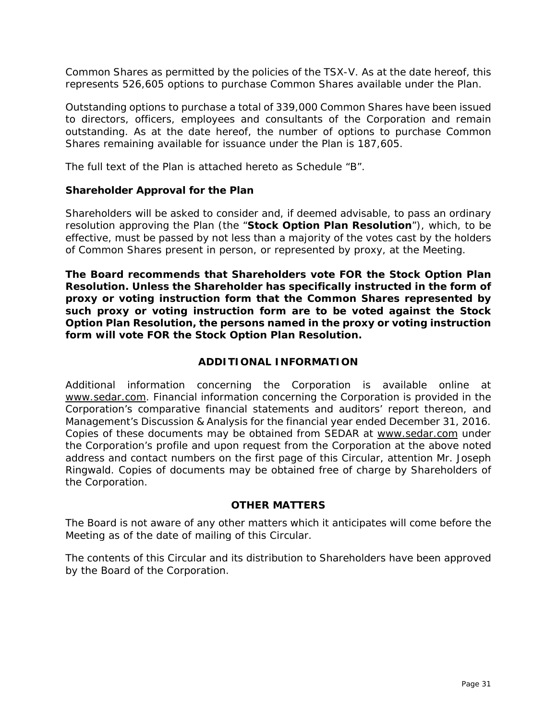Common Shares as permitted by the policies of the TSX-V. As at the date hereof, this represents 526,605 options to purchase Common Shares available under the Plan.

Outstanding options to purchase a total of 339,000 Common Shares have been issued to directors, officers, employees and consultants of the Corporation and remain outstanding. As at the date hereof, the number of options to purchase Common Shares remaining available for issuance under the Plan is 187,605.

The full text of the Plan is attached hereto as Schedule "B".

#### **Shareholder Approval for the Plan**

Shareholders will be asked to consider and, if deemed advisable, to pass an ordinary resolution approving the Plan (the "**Stock Option Plan Resolution**"), which, to be effective, must be passed by not less than a majority of the votes cast by the holders of Common Shares present in person, or represented by proxy, at the Meeting.

**The Board recommends that Shareholders vote FOR the Stock Option Plan Resolution. Unless the Shareholder has specifically instructed in the form of proxy or voting instruction form that the Common Shares represented by such proxy or voting instruction form are to be voted against the Stock Option Plan Resolution, the persons named in the proxy or voting instruction form will vote FOR the Stock Option Plan Resolution.** 

#### **ADDITIONAL INFORMATION**

Additional information concerning the Corporation is available online at www.sedar.com. Financial information concerning the Corporation is provided in the Corporation's comparative financial statements and auditors' report thereon, and Management's Discussion & Analysis for the financial year ended December 31, 2016. Copies of these documents may be obtained from SEDAR at www.sedar.com under the Corporation's profile and upon request from the Corporation at the above noted address and contact numbers on the first page of this Circular, attention Mr. Joseph Ringwald. Copies of documents may be obtained free of charge by Shareholders of the Corporation.

#### **OTHER MATTERS**

The Board is not aware of any other matters which it anticipates will come before the Meeting as of the date of mailing of this Circular.

The contents of this Circular and its distribution to Shareholders have been approved by the Board of the Corporation.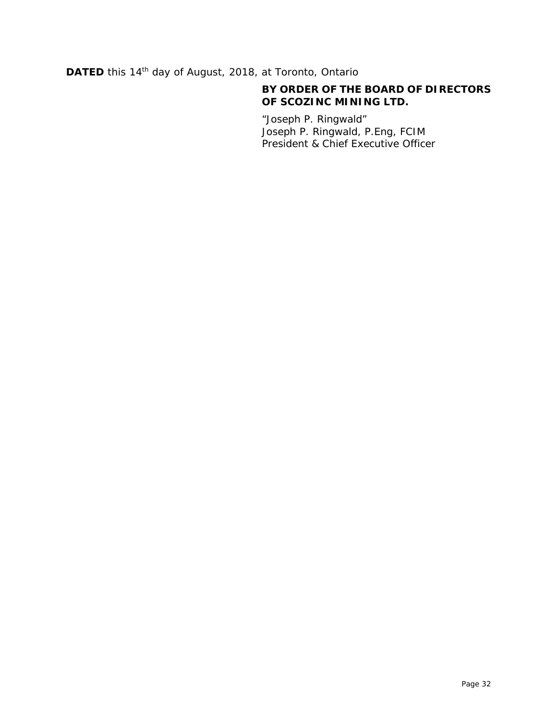DATED this 14<sup>th</sup> day of August, 2018, at Toronto, Ontario

## **BY ORDER OF THE BOARD OF DIRECTORS OF SCOZINC MINING LTD.**

"*Joseph P. Ringwald*" Joseph P. Ringwald, P.Eng, FCIM President & Chief Executive Officer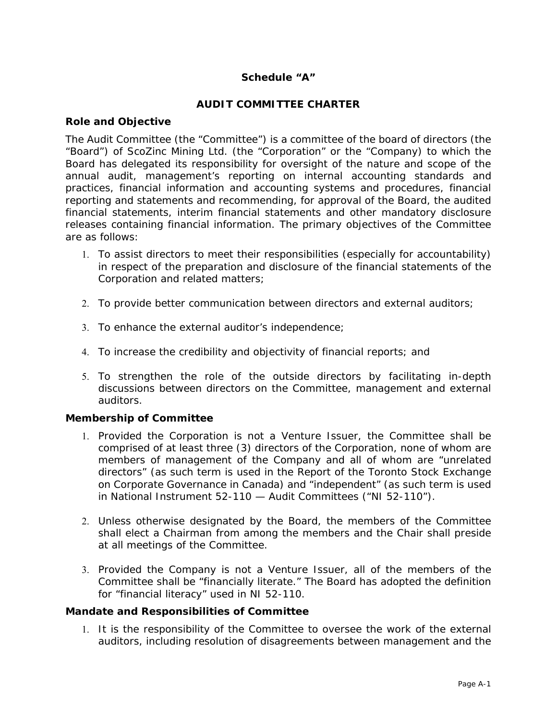## **Schedule "A"**

#### **AUDIT COMMITTEE CHARTER**

#### **Role and Objective**

The Audit Committee (the "Committee") is a committee of the board of directors (the "Board") of ScoZinc Mining Ltd. (the "Corporation" or the "Company) to which the Board has delegated its responsibility for oversight of the nature and scope of the annual audit, management's reporting on internal accounting standards and practices, financial information and accounting systems and procedures, financial reporting and statements and recommending, for approval of the Board, the audited financial statements, interim financial statements and other mandatory disclosure releases containing financial information. The primary objectives of the Committee are as follows:

- 1. To assist directors to meet their responsibilities (especially for accountability) in respect of the preparation and disclosure of the financial statements of the Corporation and related matters;
- 2. To provide better communication between directors and external auditors;
- 3. To enhance the external auditor's independence;
- 4. To increase the credibility and objectivity of financial reports; and
- 5. To strengthen the role of the outside directors by facilitating in-depth discussions between directors on the Committee, management and external auditors.

#### **Membership of Committee**

- 1. Provided the Corporation is not a Venture Issuer, the Committee shall be comprised of at least three (3) directors of the Corporation, none of whom are members of management of the Company and all of whom are "unrelated directors" (as such term is used in the Report of the Toronto Stock Exchange on Corporate Governance in Canada) and "independent" (as such term is used in National Instrument 52-110 — Audit Committees ("NI 52-110").
- 2. Unless otherwise designated by the Board, the members of the Committee shall elect a Chairman from among the members and the Chair shall preside at all meetings of the Committee.
- 3. Provided the Company is not a Venture Issuer, all of the members of the Committee shall be "financially literate." The Board has adopted the definition for "financial literacy" used in NI 52-110.

#### **Mandate and Responsibilities of Committee**

1. It is the responsibility of the Committee to oversee the work of the external auditors, including resolution of disagreements between management and the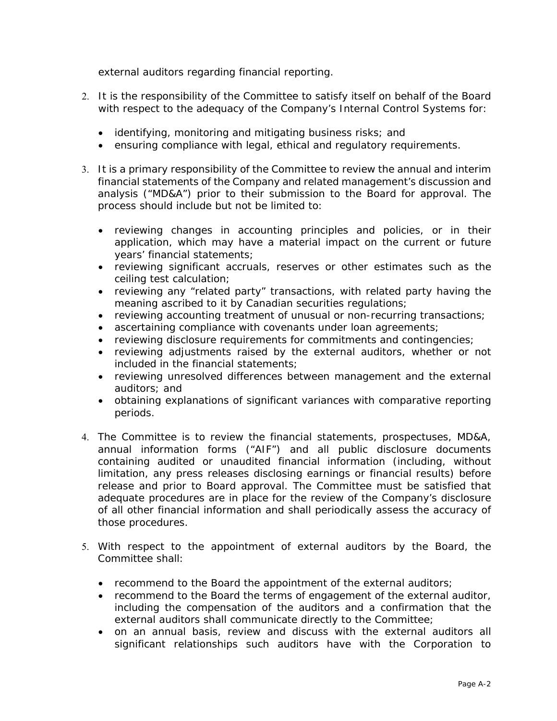external auditors regarding financial reporting.

- 2. It is the responsibility of the Committee to satisfy itself on behalf of the Board with respect to the adequacy of the Company's Internal Control Systems for:
	- identifying, monitoring and mitigating business risks; and
	- ensuring compliance with legal, ethical and regulatory requirements.
- 3. It is a primary responsibility of the Committee to review the annual and interim financial statements of the Company and related management's discussion and analysis ("MD&A") prior to their submission to the Board for approval. The process should include but not be limited to:
	- reviewing changes in accounting principles and policies, or in their application, which may have a material impact on the current or future years' financial statements;
	- reviewing significant accruals, reserves or other estimates such as the ceiling test calculation;
	- reviewing any "related party" transactions, with related party having the meaning ascribed to it by Canadian securities regulations;
	- reviewing accounting treatment of unusual or non-recurring transactions;
	- ascertaining compliance with covenants under loan agreements;
	- reviewing disclosure requirements for commitments and contingencies;
	- reviewing adjustments raised by the external auditors, whether or not included in the financial statements;
	- reviewing unresolved differences between management and the external auditors; and
	- obtaining explanations of significant variances with comparative reporting periods.
- 4. The Committee is to review the financial statements, prospectuses, MD&A, annual information forms ("AIF") and all public disclosure documents containing audited or unaudited financial information (including, without limitation, any press releases disclosing earnings or financial results) before release and prior to Board approval. The Committee must be satisfied that adequate procedures are in place for the review of the Company's disclosure of all other financial information and shall periodically assess the accuracy of those procedures.
- 5. With respect to the appointment of external auditors by the Board, the Committee shall:
	- recommend to the Board the appointment of the external auditors;
	- recommend to the Board the terms of engagement of the external auditor, including the compensation of the auditors and a confirmation that the external auditors shall communicate directly to the Committee;
	- on an annual basis, review and discuss with the external auditors all significant relationships such auditors have with the Corporation to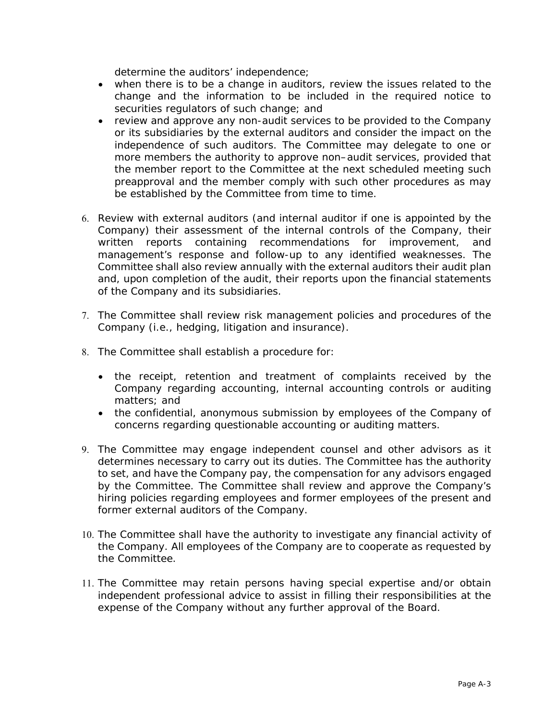determine the auditors' independence;

- when there is to be a change in auditors, review the issues related to the change and the information to be included in the required notice to securities regulators of such change; and
- review and approve any non-audit services to be provided to the Company or its subsidiaries by the external auditors and consider the impact on the independence of such auditors. The Committee may delegate to one or more members the authority to approve non–audit services, provided that the member report to the Committee at the next scheduled meeting such preapproval and the member comply with such other procedures as may be established by the Committee from time to time.
- 6. Review with external auditors (and internal auditor if one is appointed by the Company) their assessment of the internal controls of the Company, their written reports containing recommendations for improvement, and management's response and follow-up to any identified weaknesses. The Committee shall also review annually with the external auditors their audit plan and, upon completion of the audit, their reports upon the financial statements of the Company and its subsidiaries.
- 7. The Committee shall review risk management policies and procedures of the Company (i.e., hedging, litigation and insurance).
- 8. The Committee shall establish a procedure for:
	- the receipt, retention and treatment of complaints received by the Company regarding accounting, internal accounting controls or auditing matters; and
	- the confidential, anonymous submission by employees of the Company of concerns regarding questionable accounting or auditing matters.
- 9. The Committee may engage independent counsel and other advisors as it determines necessary to carry out its duties. The Committee has the authority to set, and have the Company pay, the compensation for any advisors engaged by the Committee. The Committee shall review and approve the Company's hiring policies regarding employees and former employees of the present and former external auditors of the Company.
- 10. The Committee shall have the authority to investigate any financial activity of the Company. All employees of the Company are to cooperate as requested by the Committee.
- 11. The Committee may retain persons having special expertise and/or obtain independent professional advice to assist in filling their responsibilities at the expense of the Company without any further approval of the Board.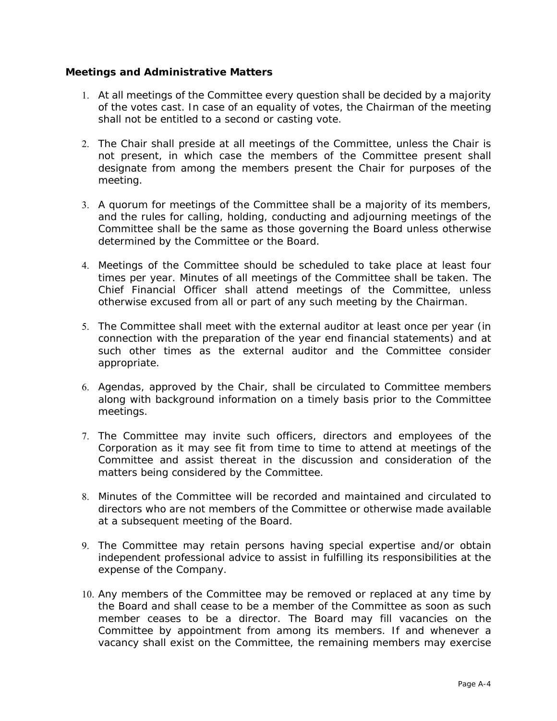#### **Meetings and Administrative Matters**

- 1. At all meetings of the Committee every question shall be decided by a majority of the votes cast. In case of an equality of votes, the Chairman of the meeting shall not be entitled to a second or casting vote.
- 2. The Chair shall preside at all meetings of the Committee, unless the Chair is not present, in which case the members of the Committee present shall designate from among the members present the Chair for purposes of the meeting.
- 3. A quorum for meetings of the Committee shall be a majority of its members, and the rules for calling, holding, conducting and adjourning meetings of the Committee shall be the same as those governing the Board unless otherwise determined by the Committee or the Board.
- 4. Meetings of the Committee should be scheduled to take place at least four times per year. Minutes of all meetings of the Committee shall be taken. The Chief Financial Officer shall attend meetings of the Committee, unless otherwise excused from all or part of any such meeting by the Chairman.
- 5. The Committee shall meet with the external auditor at least once per year (in connection with the preparation of the year end financial statements) and at such other times as the external auditor and the Committee consider appropriate.
- 6. Agendas, approved by the Chair, shall be circulated to Committee members along with background information on a timely basis prior to the Committee meetings.
- 7. The Committee may invite such officers, directors and employees of the Corporation as it may see fit from time to time to attend at meetings of the Committee and assist thereat in the discussion and consideration of the matters being considered by the Committee.
- 8. Minutes of the Committee will be recorded and maintained and circulated to directors who are not members of the Committee or otherwise made available at a subsequent meeting of the Board.
- 9. The Committee may retain persons having special expertise and/or obtain independent professional advice to assist in fulfilling its responsibilities at the expense of the Company.
- 10. Any members of the Committee may be removed or replaced at any time by the Board and shall cease to be a member of the Committee as soon as such member ceases to be a director. The Board may fill vacancies on the Committee by appointment from among its members. If and whenever a vacancy shall exist on the Committee, the remaining members may exercise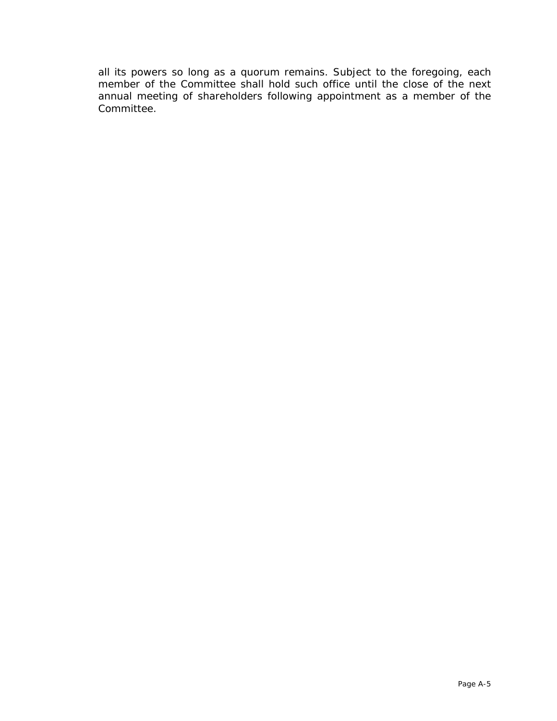all its powers so long as a quorum remains. Subject to the foregoing, each member of the Committee shall hold such office until the close of the next annual meeting of shareholders following appointment as a member of the Committee.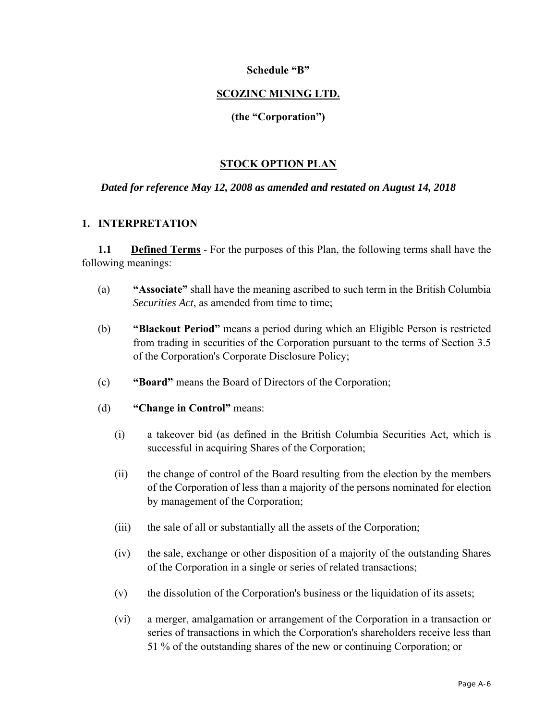#### **Schedule "B"**

## **SCOZINC MINING LTD.**

## **(the "Corporation")**

## **STOCK OPTION PLAN**

#### *Dated for reference May 12, 2008 as amended and restated on August 14, 2018*

#### **1. INTERPRETATION**

**1.1 Defined Terms** - For the purposes of this Plan, the following terms shall have the following meanings:

- (a) **"Associate"** shall have the meaning ascribed to such term in the British Columbia *Securities Act*, as amended from time to time;
- (b) **"Blackout Period"** means a period during which an Eligible Person is restricted from trading in securities of the Corporation pursuant to the terms of Section 3.5 of the Corporation's Corporate Disclosure Policy;
- (c) **"Board"** means the Board of Directors of the Corporation;
- (d) **"Change in Control"** means:
	- (i) a takeover bid (as defined in the British Columbia Securities Act, which is successful in acquiring Shares of the Corporation;
	- (ii) the change of control of the Board resulting from the election by the members of the Corporation of less than a majority of the persons nominated for election by management of the Corporation;
	- (iii) the sale of all or substantially all the assets of the Corporation;
	- (iv) the sale, exchange or other disposition of a majority of the outstanding Shares of the Corporation in a single or series of related transactions;
	- (v) the dissolution of the Corporation's business or the liquidation of its assets;
	- (vi) a merger, amalgamation or arrangement of the Corporation in a transaction or series of transactions in which the Corporation's shareholders receive less than 51 % of the outstanding shares of the new or continuing Corporation; or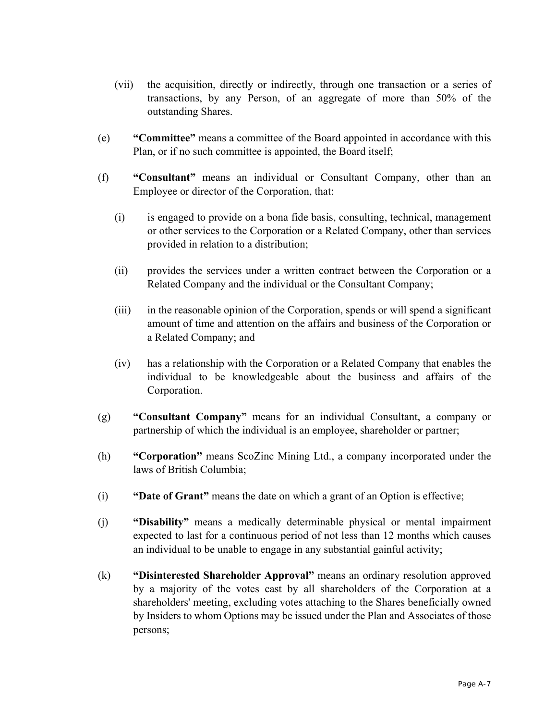- (vii) the acquisition, directly or indirectly, through one transaction or a series of transactions, by any Person, of an aggregate of more than 50% of the outstanding Shares.
- (e) **"Committee"** means a committee of the Board appointed in accordance with this Plan, or if no such committee is appointed, the Board itself;
- (f) **"Consultant"** means an individual or Consultant Company, other than an Employee or director of the Corporation, that:
	- (i) is engaged to provide on a bona fide basis, consulting, technical, management or other services to the Corporation or a Related Company, other than services provided in relation to a distribution;
	- (ii) provides the services under a written contract between the Corporation or a Related Company and the individual or the Consultant Company;
	- (iii) in the reasonable opinion of the Corporation, spends or will spend a significant amount of time and attention on the affairs and business of the Corporation or a Related Company; and
	- (iv) has a relationship with the Corporation or a Related Company that enables the individual to be knowledgeable about the business and affairs of the Corporation.
- (g) **"Consultant Company"** means for an individual Consultant, a company or partnership of which the individual is an employee, shareholder or partner;
- (h) **"Corporation"** means ScoZinc Mining Ltd., a company incorporated under the laws of British Columbia;
- (i) **"Date of Grant"** means the date on which a grant of an Option is effective;
- (j) **"Disability"** means a medically determinable physical or mental impairment expected to last for a continuous period of not less than 12 months which causes an individual to be unable to engage in any substantial gainful activity;
- (k) **"Disinterested Shareholder Approval"** means an ordinary resolution approved by a majority of the votes cast by all shareholders of the Corporation at a shareholders' meeting, excluding votes attaching to the Shares beneficially owned by Insiders to whom Options may be issued under the Plan and Associates of those persons;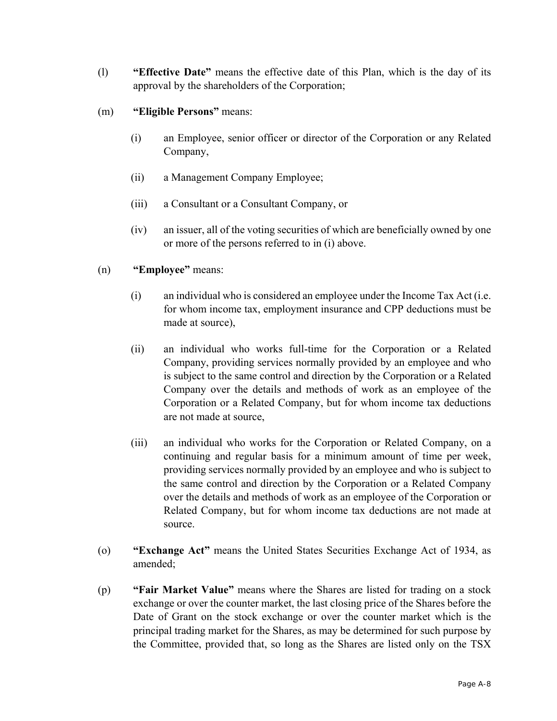- (l) **"Effective Date"** means the effective date of this Plan, which is the day of its approval by the shareholders of the Corporation;
- (m) **"Eligible Persons"** means:
	- (i) an Employee, senior officer or director of the Corporation or any Related Company,
	- (ii) a Management Company Employee;
	- (iii) a Consultant or a Consultant Company, or
	- (iv) an issuer, all of the voting securities of which are beneficially owned by one or more of the persons referred to in (i) above.

## (n) **"Employee"** means:

- (i) an individual who is considered an employee under the Income Tax Act (i.e. for whom income tax, employment insurance and CPP deductions must be made at source),
- (ii) an individual who works full-time for the Corporation or a Related Company, providing services normally provided by an employee and who is subject to the same control and direction by the Corporation or a Related Company over the details and methods of work as an employee of the Corporation or a Related Company, but for whom income tax deductions are not made at source,
- (iii) an individual who works for the Corporation or Related Company, on a continuing and regular basis for a minimum amount of time per week, providing services normally provided by an employee and who is subject to the same control and direction by the Corporation or a Related Company over the details and methods of work as an employee of the Corporation or Related Company, but for whom income tax deductions are not made at source.
- (o) **"Exchange Act"** means the United States Securities Exchange Act of 1934, as amended;
- (p) **"Fair Market Value"** means where the Shares are listed for trading on a stock exchange or over the counter market, the last closing price of the Shares before the Date of Grant on the stock exchange or over the counter market which is the principal trading market for the Shares, as may be determined for such purpose by the Committee, provided that, so long as the Shares are listed only on the TSX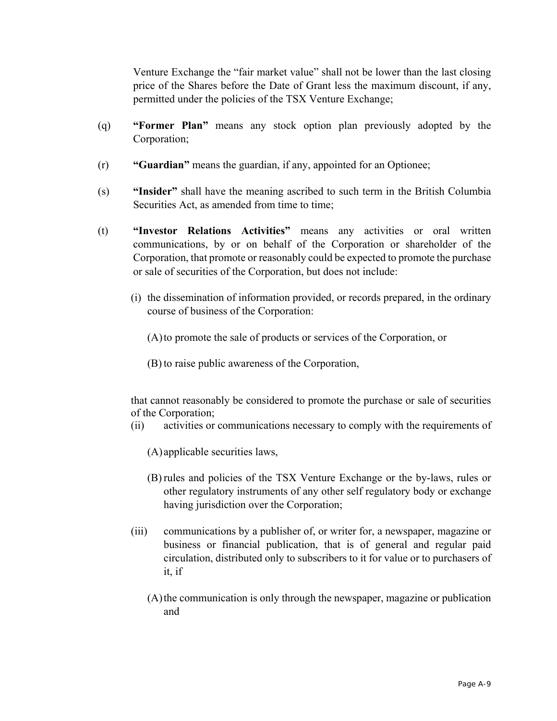Venture Exchange the "fair market value" shall not be lower than the last closing price of the Shares before the Date of Grant less the maximum discount, if any, permitted under the policies of the TSX Venture Exchange;

- (q) **"Former Plan"** means any stock option plan previously adopted by the Corporation;
- (r) **"Guardian"** means the guardian, if any, appointed for an Optionee;
- (s) **"Insider"** shall have the meaning ascribed to such term in the British Columbia Securities Act, as amended from time to time;
- (t) **"Investor Relations Activities"** means any activities or oral written communications, by or on behalf of the Corporation or shareholder of the Corporation, that promote or reasonably could be expected to promote the purchase or sale of securities of the Corporation, but does not include:
	- (i) the dissemination of information provided, or records prepared, in the ordinary course of business of the Corporation:
		- (A)to promote the sale of products or services of the Corporation, or
		- (B) to raise public awareness of the Corporation,

that cannot reasonably be considered to promote the purchase or sale of securities of the Corporation;

- (ii) activities or communications necessary to comply with the requirements of
	- (A) applicable securities laws,
	- (B) rules and policies of the TSX Venture Exchange or the by-laws, rules or other regulatory instruments of any other self regulatory body or exchange having jurisdiction over the Corporation;
- (iii) communications by a publisher of, or writer for, a newspaper, magazine or business or financial publication, that is of general and regular paid circulation, distributed only to subscribers to it for value or to purchasers of it, if
	- (A)the communication is only through the newspaper, magazine or publication and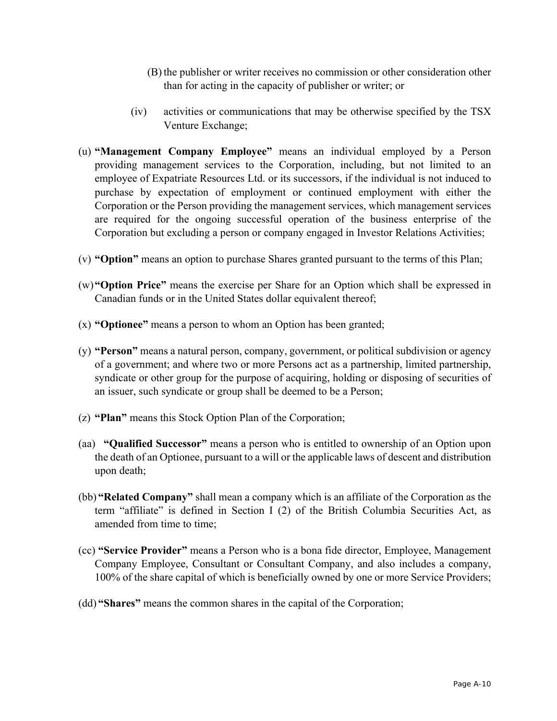- (B) the publisher or writer receives no commission or other consideration other than for acting in the capacity of publisher or writer; or
- (iv) activities or communications that may be otherwise specified by the TSX Venture Exchange;
- (u) **"Management Company Employee"** means an individual employed by a Person providing management services to the Corporation, including, but not limited to an employee of Expatriate Resources Ltd. or its successors, if the individual is not induced to purchase by expectation of employment or continued employment with either the Corporation or the Person providing the management services, which management services are required for the ongoing successful operation of the business enterprise of the Corporation but excluding a person or company engaged in Investor Relations Activities;
- (v) **"Option"** means an option to purchase Shares granted pursuant to the terms of this Plan;
- (w)**"Option Price"** means the exercise per Share for an Option which shall be expressed in Canadian funds or in the United States dollar equivalent thereof;
- (x) **"Optionee"** means a person to whom an Option has been granted;
- (y) **"Person"** means a natural person, company, government, or political subdivision or agency of a government; and where two or more Persons act as a partnership, limited partnership, syndicate or other group for the purpose of acquiring, holding or disposing of securities of an issuer, such syndicate or group shall be deemed to be a Person;
- (z) **"Plan"** means this Stock Option Plan of the Corporation;
- (aa) **"Qualified Successor"** means a person who is entitled to ownership of an Option upon the death of an Optionee, pursuant to a will or the applicable laws of descent and distribution upon death;
- (bb) **"Related Company"** shall mean a company which is an affiliate of the Corporation as the term "affiliate" is defined in Section I (2) of the British Columbia Securities Act, as amended from time to time;
- (cc) **"Service Provider"** means a Person who is a bona fide director, Employee, Management Company Employee, Consultant or Consultant Company, and also includes a company, 100% of the share capital of which is beneficially owned by one or more Service Providers;
- (dd) **"Shares"** means the common shares in the capital of the Corporation;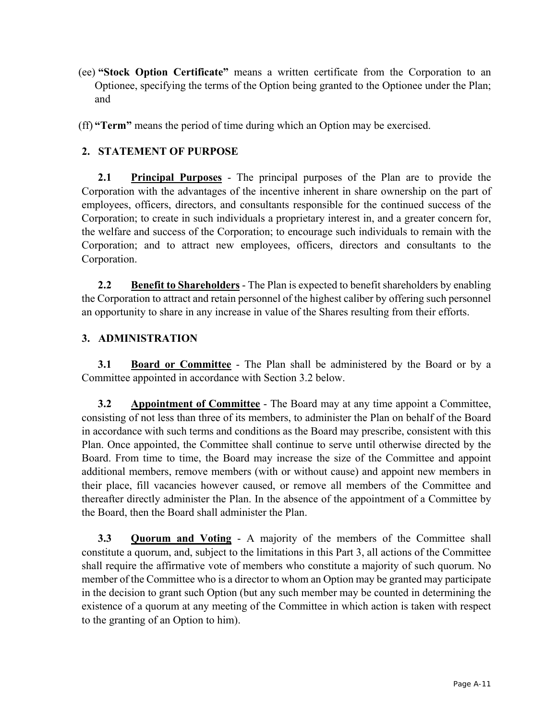(ee) **"Stock Option Certificate"** means a written certificate from the Corporation to an Optionee, specifying the terms of the Option being granted to the Optionee under the Plan; and

(ff) **"Term"** means the period of time during which an Option may be exercised.

## **2. STATEMENT OF PURPOSE**

**2.1 Principal Purposes** - The principal purposes of the Plan are to provide the Corporation with the advantages of the incentive inherent in share ownership on the part of employees, officers, directors, and consultants responsible for the continued success of the Corporation; to create in such individuals a proprietary interest in, and a greater concern for, the welfare and success of the Corporation; to encourage such individuals to remain with the Corporation; and to attract new employees, officers, directors and consultants to the Corporation.

**2.2 Benefit to Shareholders** - The Plan is expected to benefit shareholders by enabling the Corporation to attract and retain personnel of the highest caliber by offering such personnel an opportunity to share in any increase in value of the Shares resulting from their efforts.

## **3. ADMINISTRATION**

**3.1 Board or Committee** - The Plan shall be administered by the Board or by a Committee appointed in accordance with Section 3.2 below.

**3.2 Appointment of Committee** - The Board may at any time appoint a Committee, consisting of not less than three of its members, to administer the Plan on behalf of the Board in accordance with such terms and conditions as the Board may prescribe, consistent with this Plan. Once appointed, the Committee shall continue to serve until otherwise directed by the Board. From time to time, the Board may increase the size of the Committee and appoint additional members, remove members (with or without cause) and appoint new members in their place, fill vacancies however caused, or remove all members of the Committee and thereafter directly administer the Plan. In the absence of the appointment of a Committee by the Board, then the Board shall administer the Plan.

**3.3 Quorum and Voting** - A majority of the members of the Committee shall constitute a quorum, and, subject to the limitations in this Part 3, all actions of the Committee shall require the affirmative vote of members who constitute a majority of such quorum. No member of the Committee who is a director to whom an Option may be granted may participate in the decision to grant such Option (but any such member may be counted in determining the existence of a quorum at any meeting of the Committee in which action is taken with respect to the granting of an Option to him).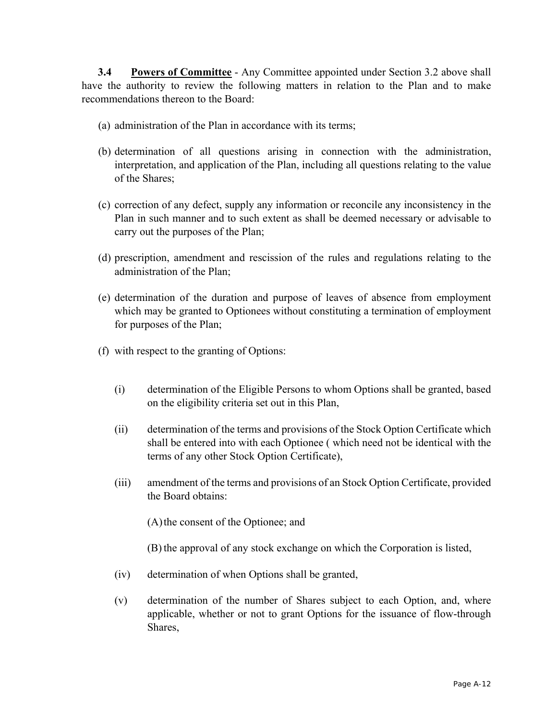**3.4 Powers of Committee** - Any Committee appointed under Section 3.2 above shall have the authority to review the following matters in relation to the Plan and to make recommendations thereon to the Board:

- (a) administration of the Plan in accordance with its terms;
- (b) determination of all questions arising in connection with the administration, interpretation, and application of the Plan, including all questions relating to the value of the Shares;
- (c) correction of any defect, supply any information or reconcile any inconsistency in the Plan in such manner and to such extent as shall be deemed necessary or advisable to carry out the purposes of the Plan;
- (d) prescription, amendment and rescission of the rules and regulations relating to the administration of the Plan;
- (e) determination of the duration and purpose of leaves of absence from employment which may be granted to Optionees without constituting a termination of employment for purposes of the Plan;
- (f) with respect to the granting of Options:
	- (i) determination of the Eligible Persons to whom Options shall be granted, based on the eligibility criteria set out in this Plan,
	- (ii) determination of the terms and provisions of the Stock Option Certificate which shall be entered into with each Optionee ( which need not be identical with the terms of any other Stock Option Certificate),
	- (iii) amendment of the terms and provisions of an Stock Option Certificate, provided the Board obtains:

(A)the consent of the Optionee; and

(B) the approval of any stock exchange on which the Corporation is listed,

- (iv) determination of when Options shall be granted,
- (v) determination of the number of Shares subject to each Option, and, where applicable, whether or not to grant Options for the issuance of flow-through Shares,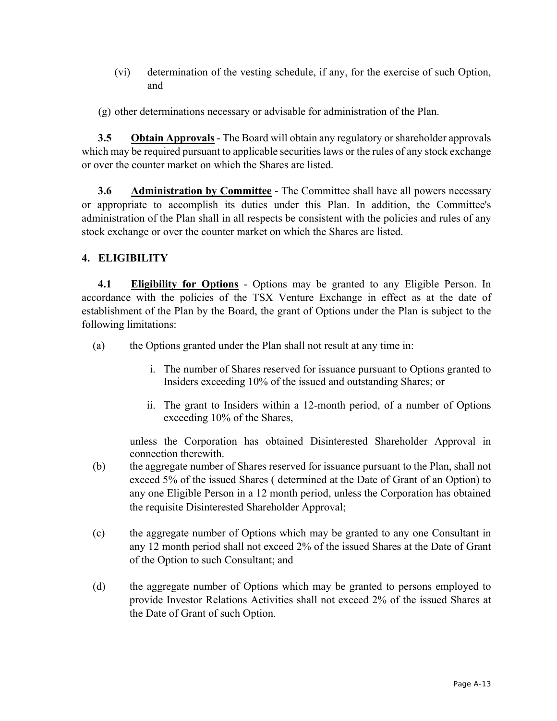- (vi) determination of the vesting schedule, if any, for the exercise of such Option, and
- (g) other determinations necessary or advisable for administration of the Plan.

**3.5 Obtain Approvals** - The Board will obtain any regulatory or shareholder approvals which may be required pursuant to applicable securities laws or the rules of any stock exchange or over the counter market on which the Shares are listed.

**3.6 Administration by Committee** - The Committee shall have all powers necessary or appropriate to accomplish its duties under this Plan. In addition, the Committee's administration of the Plan shall in all respects be consistent with the policies and rules of any stock exchange or over the counter market on which the Shares are listed.

# **4. ELIGIBILITY**

**4.1 Eligibility for Options** - Options may be granted to any Eligible Person. In accordance with the policies of the TSX Venture Exchange in effect as at the date of establishment of the Plan by the Board, the grant of Options under the Plan is subject to the following limitations:

- (a) the Options granted under the Plan shall not result at any time in:
	- i. The number of Shares reserved for issuance pursuant to Options granted to Insiders exceeding 10% of the issued and outstanding Shares; or
	- ii. The grant to Insiders within a 12-month period, of a number of Options exceeding 10% of the Shares,

unless the Corporation has obtained Disinterested Shareholder Approval in connection therewith.

- (b) the aggregate number of Shares reserved for issuance pursuant to the Plan, shall not exceed 5% of the issued Shares ( determined at the Date of Grant of an Option) to any one Eligible Person in a 12 month period, unless the Corporation has obtained the requisite Disinterested Shareholder Approval;
- (c) the aggregate number of Options which may be granted to any one Consultant in any 12 month period shall not exceed 2% of the issued Shares at the Date of Grant of the Option to such Consultant; and
- (d) the aggregate number of Options which may be granted to persons employed to provide Investor Relations Activities shall not exceed 2% of the issued Shares at the Date of Grant of such Option.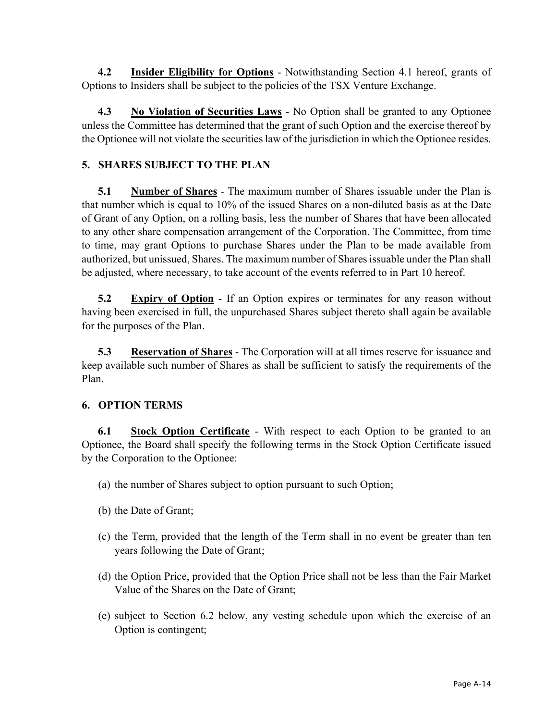**4.2 Insider Eligibility for Options** - Notwithstanding Section 4.1 hereof, grants of Options to Insiders shall be subject to the policies of the TSX Venture Exchange.

**4.3 No Violation of Securities Laws** - No Option shall be granted to any Optionee unless the Committee has determined that the grant of such Option and the exercise thereof by the Optionee will not violate the securities law of the jurisdiction in which the Optionee resides.

# **5. SHARES SUBJECT TO THE PLAN**

**5.1 Number of Shares** - The maximum number of Shares issuable under the Plan is that number which is equal to 10% of the issued Shares on a non-diluted basis as at the Date of Grant of any Option, on a rolling basis, less the number of Shares that have been allocated to any other share compensation arrangement of the Corporation. The Committee, from time to time, may grant Options to purchase Shares under the Plan to be made available from authorized, but unissued, Shares. The maximum number of Shares issuable under the Plan shall be adjusted, where necessary, to take account of the events referred to in Part 10 hereof.

**5.2 Expiry of Option** - If an Option expires or terminates for any reason without having been exercised in full, the unpurchased Shares subject thereto shall again be available for the purposes of the Plan.

**5.3 Reservation of Shares** - The Corporation will at all times reserve for issuance and keep available such number of Shares as shall be sufficient to satisfy the requirements of the Plan.

## **6. OPTION TERMS**

**6.1 Stock Option Certificate** - With respect to each Option to be granted to an Optionee, the Board shall specify the following terms in the Stock Option Certificate issued by the Corporation to the Optionee:

- (a) the number of Shares subject to option pursuant to such Option;
- (b) the Date of Grant;
- (c) the Term, provided that the length of the Term shall in no event be greater than ten years following the Date of Grant;
- (d) the Option Price, provided that the Option Price shall not be less than the Fair Market Value of the Shares on the Date of Grant;
- (e) subject to Section 6.2 below, any vesting schedule upon which the exercise of an Option is contingent;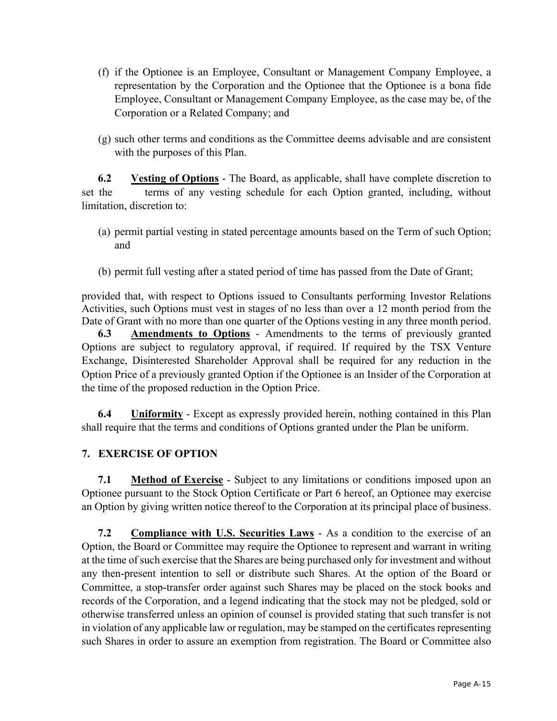- (f) if the Optionee is an Employee, Consultant or Management Company Employee, a representation by the Corporation and the Optionee that the Optionee is a bona fide Employee, Consultant or Management Company Employee, as the case may be, of the Corporation or a Related Company; and
- (g) such other terms and conditions as the Committee deems advisable and are consistent with the purposes of this Plan.

**6.2 Vesting of Options** - The Board, as applicable, shall have complete discretion to set the terms of any vesting schedule for each Option granted, including, without limitation, discretion to:

- (a) permit partial vesting in stated percentage amounts based on the Term of such Option; and
- (b) permit full vesting after a stated period of time has passed from the Date of Grant;

provided that, with respect to Options issued to Consultants performing Investor Relations Activities, such Options must vest in stages of no less than over a 12 month period from the Date of Grant with no more than one quarter of the Options vesting in any three month period.

**6.3 Amendments to Options** - Amendments to the terms of previously granted Options are subject to regulatory approval, if required. If required by the TSX Venture Exchange, Disinterested Shareholder Approval shall be required for any reduction in the Option Price of a previously granted Option if the Optionee is an Insider of the Corporation at the time of the proposed reduction in the Option Price.

**6.4 Uniformity** - Except as expressly provided herein, nothing contained in this Plan shall require that the terms and conditions of Options granted under the Plan be uniform.

# **7. EXERCISE OF OPTION**

**7.1 Method of Exercise** - Subject to any limitations or conditions imposed upon an Optionee pursuant to the Stock Option Certificate or Part 6 hereof, an Optionee may exercise an Option by giving written notice thereof to the Corporation at its principal place of business.

**7.2 Compliance with U.S. Securities Laws** - As a condition to the exercise of an Option, the Board or Committee may require the Optionee to represent and warrant in writing at the time of such exercise that the Shares are being purchased only for investment and without any then-present intention to sell or distribute such Shares. At the option of the Board or Committee, a stop-transfer order against such Shares may be placed on the stock books and records of the Corporation, and a legend indicating that the stock may not be pledged, sold or otherwise transferred unless an opinion of counsel is provided stating that such transfer is not in violation of any applicable law or regulation, may be stamped on the certificates representing such Shares in order to assure an exemption from registration. The Board or Committee also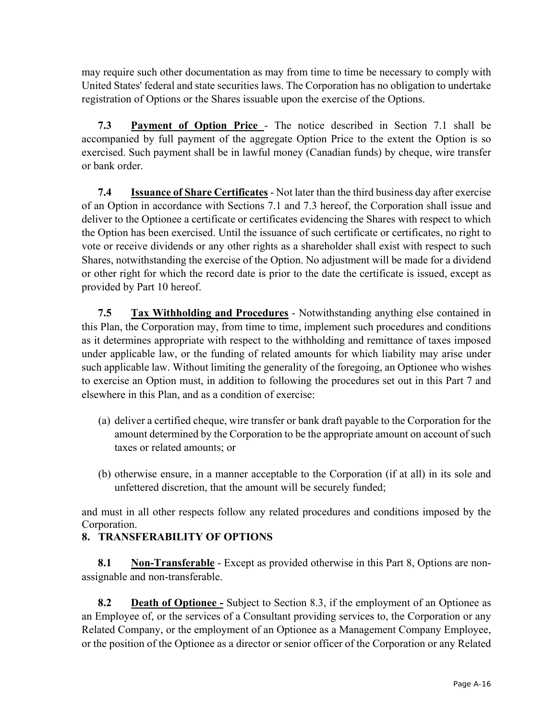may require such other documentation as may from time to time be necessary to comply with United States' federal and state securities laws. The Corporation has no obligation to undertake registration of Options or the Shares issuable upon the exercise of the Options.

**7.3 Payment of Option Price** - The notice described in Section 7.1 shall be accompanied by full payment of the aggregate Option Price to the extent the Option is so exercised. Such payment shall be in lawful money (Canadian funds) by cheque, wire transfer or bank order.

**7.4 Issuance of Share Certificates** - Not later than the third business day after exercise of an Option in accordance with Sections 7.1 and 7.3 hereof, the Corporation shall issue and deliver to the Optionee a certificate or certificates evidencing the Shares with respect to which the Option has been exercised. Until the issuance of such certificate or certificates, no right to vote or receive dividends or any other rights as a shareholder shall exist with respect to such Shares, notwithstanding the exercise of the Option. No adjustment will be made for a dividend or other right for which the record date is prior to the date the certificate is issued, except as provided by Part 10 hereof.

**7.5 Tax Withholding and Procedures** - Notwithstanding anything else contained in this Plan, the Corporation may, from time to time, implement such procedures and conditions as it determines appropriate with respect to the withholding and remittance of taxes imposed under applicable law, or the funding of related amounts for which liability may arise under such applicable law. Without limiting the generality of the foregoing, an Optionee who wishes to exercise an Option must, in addition to following the procedures set out in this Part 7 and elsewhere in this Plan, and as a condition of exercise:

- (a) deliver a certified cheque, wire transfer or bank draft payable to the Corporation for the amount determined by the Corporation to be the appropriate amount on account of such taxes or related amounts; or
- (b) otherwise ensure, in a manner acceptable to the Corporation (if at all) in its sole and unfettered discretion, that the amount will be securely funded;

and must in all other respects follow any related procedures and conditions imposed by the Corporation.

# **8. TRANSFERABILITY OF OPTIONS**

**8.1 Non-Transferable** - Except as provided otherwise in this Part 8, Options are nonassignable and non-transferable.

**8.2 Death of Optionee** - Subject to Section 8.3, if the employment of an Optionee as an Employee of, or the services of a Consultant providing services to, the Corporation or any Related Company, or the employment of an Optionee as a Management Company Employee, or the position of the Optionee as a director or senior officer of the Corporation or any Related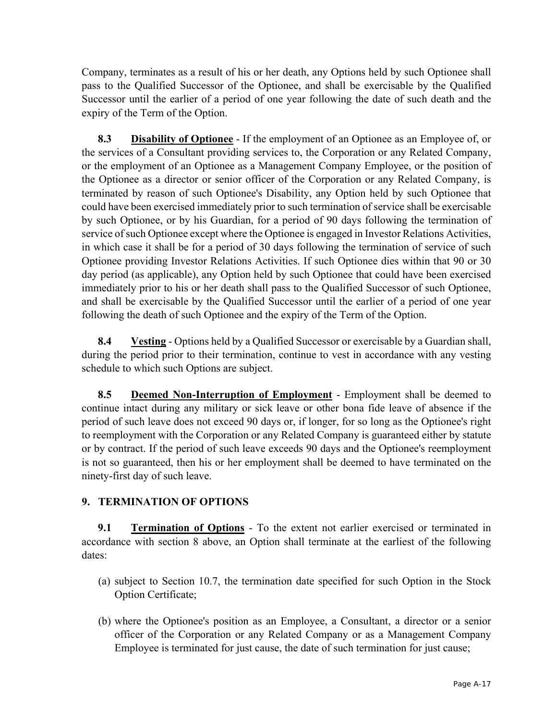Company, terminates as a result of his or her death, any Options held by such Optionee shall pass to the Qualified Successor of the Optionee, and shall be exercisable by the Qualified Successor until the earlier of a period of one year following the date of such death and the expiry of the Term of the Option.

**8.3 Disability of Optionee** - If the employment of an Optionee as an Employee of, or the services of a Consultant providing services to, the Corporation or any Related Company, or the employment of an Optionee as a Management Company Employee, or the position of the Optionee as a director or senior officer of the Corporation or any Related Company, is terminated by reason of such Optionee's Disability, any Option held by such Optionee that could have been exercised immediately prior to such termination of service shall be exercisable by such Optionee, or by his Guardian, for a period of 90 days following the termination of service of such Optionee except where the Optionee is engaged in Investor Relations Activities, in which case it shall be for a period of 30 days following the termination of service of such Optionee providing Investor Relations Activities. If such Optionee dies within that 90 or 30 day period (as applicable), any Option held by such Optionee that could have been exercised immediately prior to his or her death shall pass to the Qualified Successor of such Optionee, and shall be exercisable by the Qualified Successor until the earlier of a period of one year following the death of such Optionee and the expiry of the Term of the Option.

**8.4 Vesting** - Options held by a Qualified Successor or exercisable by a Guardian shall, during the period prior to their termination, continue to vest in accordance with any vesting schedule to which such Options are subject.

**8.5 Deemed Non-Interruption of Employment** - Employment shall be deemed to continue intact during any military or sick leave or other bona fide leave of absence if the period of such leave does not exceed 90 days or, if longer, for so long as the Optionee's right to reemployment with the Corporation or any Related Company is guaranteed either by statute or by contract. If the period of such leave exceeds 90 days and the Optionee's reemployment is not so guaranteed, then his or her employment shall be deemed to have terminated on the ninety-first day of such leave.

## **9. TERMINATION OF OPTIONS**

**9.1 Termination of Options** - To the extent not earlier exercised or terminated in accordance with section 8 above, an Option shall terminate at the earliest of the following dates:

- (a) subject to Section 10.7, the termination date specified for such Option in the Stock Option Certificate;
- (b) where the Optionee's position as an Employee, a Consultant, a director or a senior officer of the Corporation or any Related Company or as a Management Company Employee is terminated for just cause, the date of such termination for just cause;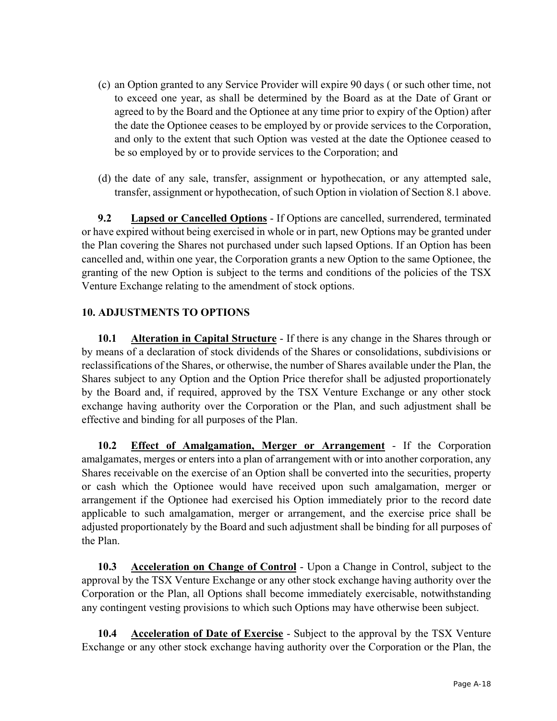- (c) an Option granted to any Service Provider will expire 90 days ( or such other time, not to exceed one year, as shall be determined by the Board as at the Date of Grant or agreed to by the Board and the Optionee at any time prior to expiry of the Option) after the date the Optionee ceases to be employed by or provide services to the Corporation, and only to the extent that such Option was vested at the date the Optionee ceased to be so employed by or to provide services to the Corporation; and
- (d) the date of any sale, transfer, assignment or hypothecation, or any attempted sale, transfer, assignment or hypothecation, of such Option in violation of Section 8.1 above.

**9.2 Lapsed or Cancelled Options** - If Options are cancelled, surrendered, terminated or have expired without being exercised in whole or in part, new Options may be granted under the Plan covering the Shares not purchased under such lapsed Options. If an Option has been cancelled and, within one year, the Corporation grants a new Option to the same Optionee, the granting of the new Option is subject to the terms and conditions of the policies of the TSX Venture Exchange relating to the amendment of stock options.

## **10. ADJUSTMENTS TO OPTIONS**

**10.1 Alteration in Capital Structure** - If there is any change in the Shares through or by means of a declaration of stock dividends of the Shares or consolidations, subdivisions or reclassifications of the Shares, or otherwise, the number of Shares available under the Plan, the Shares subject to any Option and the Option Price therefor shall be adjusted proportionately by the Board and, if required, approved by the TSX Venture Exchange or any other stock exchange having authority over the Corporation or the Plan, and such adjustment shall be effective and binding for all purposes of the Plan.

**10.2 Effect of Amalgamation, Merger or Arrangement** - If the Corporation amalgamates, merges or enters into a plan of arrangement with or into another corporation, any Shares receivable on the exercise of an Option shall be converted into the securities, property or cash which the Optionee would have received upon such amalgamation, merger or arrangement if the Optionee had exercised his Option immediately prior to the record date applicable to such amalgamation, merger or arrangement, and the exercise price shall be adjusted proportionately by the Board and such adjustment shall be binding for all purposes of the Plan.

**10.3 Acceleration on Change of Control** - Upon a Change in Control, subject to the approval by the TSX Venture Exchange or any other stock exchange having authority over the Corporation or the Plan, all Options shall become immediately exercisable, notwithstanding any contingent vesting provisions to which such Options may have otherwise been subject.

**10.4 Acceleration of Date of Exercise** - Subject to the approval by the TSX Venture Exchange or any other stock exchange having authority over the Corporation or the Plan, the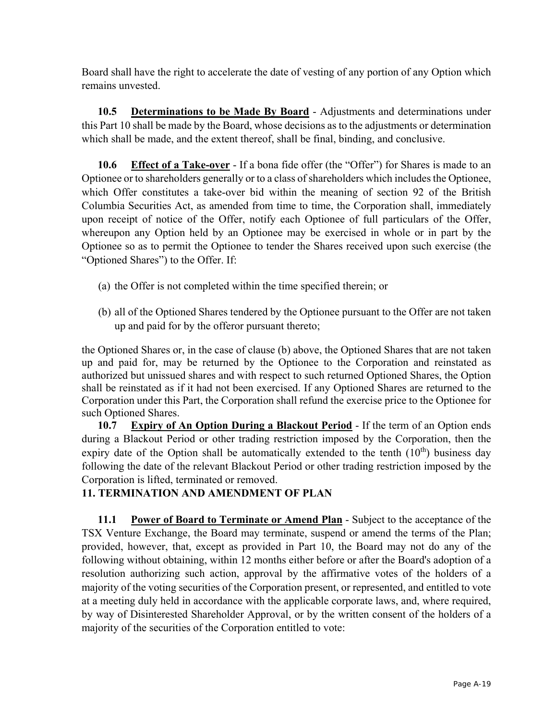Board shall have the right to accelerate the date of vesting of any portion of any Option which remains unvested.

**10.5 Determinations to be Made By Board** - Adjustments and determinations under this Part 10 shall be made by the Board, whose decisions as to the adjustments or determination which shall be made, and the extent thereof, shall be final, binding, and conclusive.

**10.6 Effect of a Take-over** - If a bona fide offer (the "Offer") for Shares is made to an Optionee or to shareholders generally or to a class of shareholders which includes the Optionee, which Offer constitutes a take-over bid within the meaning of section 92 of the British Columbia Securities Act, as amended from time to time, the Corporation shall, immediately upon receipt of notice of the Offer, notify each Optionee of full particulars of the Offer, whereupon any Option held by an Optionee may be exercised in whole or in part by the Optionee so as to permit the Optionee to tender the Shares received upon such exercise (the "Optioned Shares") to the Offer. If:

- (a) the Offer is not completed within the time specified therein; or
- (b) all of the Optioned Shares tendered by the Optionee pursuant to the Offer are not taken up and paid for by the offeror pursuant thereto;

the Optioned Shares or, in the case of clause (b) above, the Optioned Shares that are not taken up and paid for, may be returned by the Optionee to the Corporation and reinstated as authorized but unissued shares and with respect to such returned Optioned Shares, the Option shall be reinstated as if it had not been exercised. If any Optioned Shares are returned to the Corporation under this Part, the Corporation shall refund the exercise price to the Optionee for such Optioned Shares.

**10.7 Expiry of An Option During a Blackout Period** - If the term of an Option ends during a Blackout Period or other trading restriction imposed by the Corporation, then the expiry date of the Option shall be automatically extended to the tenth  $(10<sup>th</sup>)$  business day following the date of the relevant Blackout Period or other trading restriction imposed by the Corporation is lifted, terminated or removed.

# **11. TERMINATION AND AMENDMENT OF PLAN**

**11.1 Power of Board to Terminate or Amend Plan** - Subject to the acceptance of the TSX Venture Exchange, the Board may terminate, suspend or amend the terms of the Plan; provided, however, that, except as provided in Part 10, the Board may not do any of the following without obtaining, within 12 months either before or after the Board's adoption of a resolution authorizing such action, approval by the affirmative votes of the holders of a majority of the voting securities of the Corporation present, or represented, and entitled to vote at a meeting duly held in accordance with the applicable corporate laws, and, where required, by way of Disinterested Shareholder Approval, or by the written consent of the holders of a majority of the securities of the Corporation entitled to vote: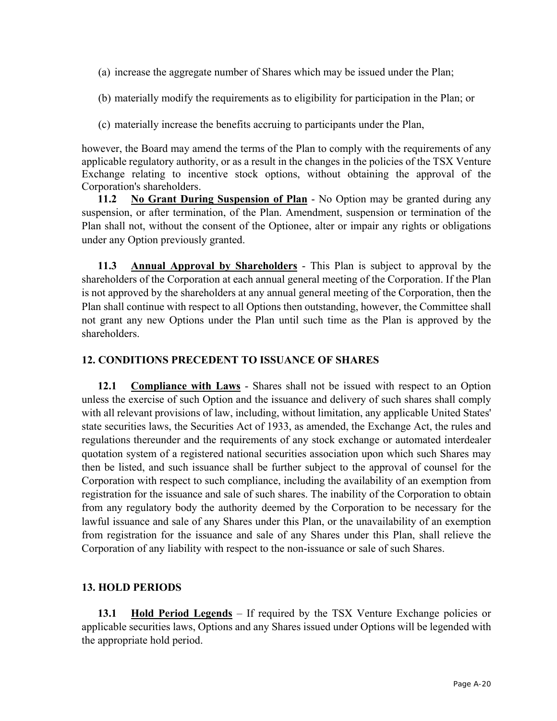- (a) increase the aggregate number of Shares which may be issued under the Plan;
- (b) materially modify the requirements as to eligibility for participation in the Plan; or
- (c) materially increase the benefits accruing to participants under the Plan,

however, the Board may amend the terms of the Plan to comply with the requirements of any applicable regulatory authority, or as a result in the changes in the policies of the TSX Venture Exchange relating to incentive stock options, without obtaining the approval of the Corporation's shareholders.

**11.2 No Grant During Suspension of Plan** - No Option may be granted during any suspension, or after termination, of the Plan. Amendment, suspension or termination of the Plan shall not, without the consent of the Optionee, alter or impair any rights or obligations under any Option previously granted.

**11.3 Annual Approval by Shareholders** - This Plan is subject to approval by the shareholders of the Corporation at each annual general meeting of the Corporation. If the Plan is not approved by the shareholders at any annual general meeting of the Corporation, then the Plan shall continue with respect to all Options then outstanding, however, the Committee shall not grant any new Options under the Plan until such time as the Plan is approved by the shareholders.

## **12. CONDITIONS PRECEDENT TO ISSUANCE OF SHARES**

**12.1 Compliance with Laws** - Shares shall not be issued with respect to an Option unless the exercise of such Option and the issuance and delivery of such shares shall comply with all relevant provisions of law, including, without limitation, any applicable United States' state securities laws, the Securities Act of 1933, as amended, the Exchange Act, the rules and regulations thereunder and the requirements of any stock exchange or automated interdealer quotation system of a registered national securities association upon which such Shares may then be listed, and such issuance shall be further subject to the approval of counsel for the Corporation with respect to such compliance, including the availability of an exemption from registration for the issuance and sale of such shares. The inability of the Corporation to obtain from any regulatory body the authority deemed by the Corporation to be necessary for the lawful issuance and sale of any Shares under this Plan, or the unavailability of an exemption from registration for the issuance and sale of any Shares under this Plan, shall relieve the Corporation of any liability with respect to the non-issuance or sale of such Shares.

## **13. HOLD PERIODS**

**13.1 Hold Period Legends** – If required by the TSX Venture Exchange policies or applicable securities laws, Options and any Shares issued under Options will be legended with the appropriate hold period.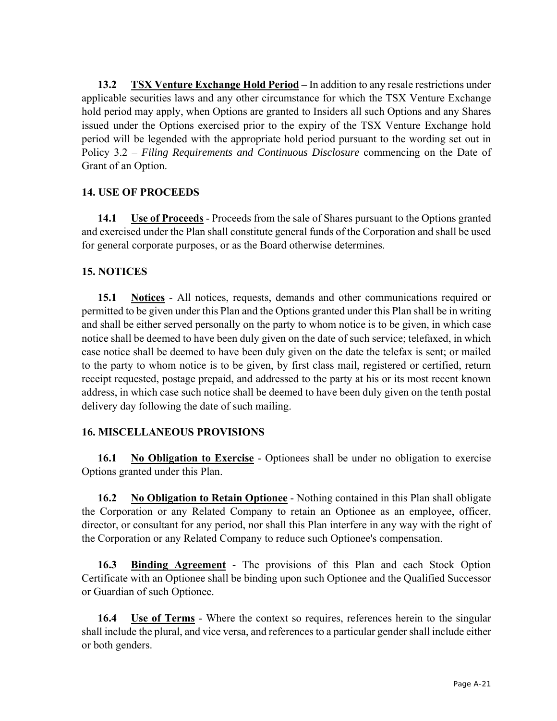**13.2 TSX Venture Exchange Hold Period –** In addition to any resale restrictions under applicable securities laws and any other circumstance for which the TSX Venture Exchange hold period may apply, when Options are granted to Insiders all such Options and any Shares issued under the Options exercised prior to the expiry of the TSX Venture Exchange hold period will be legended with the appropriate hold period pursuant to the wording set out in Policy 3.2 – *Filing Requirements and Continuous Disclosure* commencing on the Date of Grant of an Option.

## **14. USE OF PROCEEDS**

**14.1 Use of Proceeds** - Proceeds from the sale of Shares pursuant to the Options granted and exercised under the Plan shall constitute general funds of the Corporation and shall be used for general corporate purposes, or as the Board otherwise determines.

## **15. NOTICES**

**15.1 Notices** - All notices, requests, demands and other communications required or permitted to be given under this Plan and the Options granted under this Plan shall be in writing and shall be either served personally on the party to whom notice is to be given, in which case notice shall be deemed to have been duly given on the date of such service; telefaxed, in which case notice shall be deemed to have been duly given on the date the telefax is sent; or mailed to the party to whom notice is to be given, by first class mail, registered or certified, return receipt requested, postage prepaid, and addressed to the party at his or its most recent known address, in which case such notice shall be deemed to have been duly given on the tenth postal delivery day following the date of such mailing.

## **16. MISCELLANEOUS PROVISIONS**

**16.1 No Obligation to Exercise** - Optionees shall be under no obligation to exercise Options granted under this Plan.

**16.2 No Obligation to Retain Optionee** - Nothing contained in this Plan shall obligate the Corporation or any Related Company to retain an Optionee as an employee, officer, director, or consultant for any period, nor shall this Plan interfere in any way with the right of the Corporation or any Related Company to reduce such Optionee's compensation.

**16.3 Binding Agreement** - The provisions of this Plan and each Stock Option Certificate with an Optionee shall be binding upon such Optionee and the Qualified Successor or Guardian of such Optionee.

**16.4 Use of Terms** - Where the context so requires, references herein to the singular shall include the plural, and vice versa, and references to a particular gender shall include either or both genders.